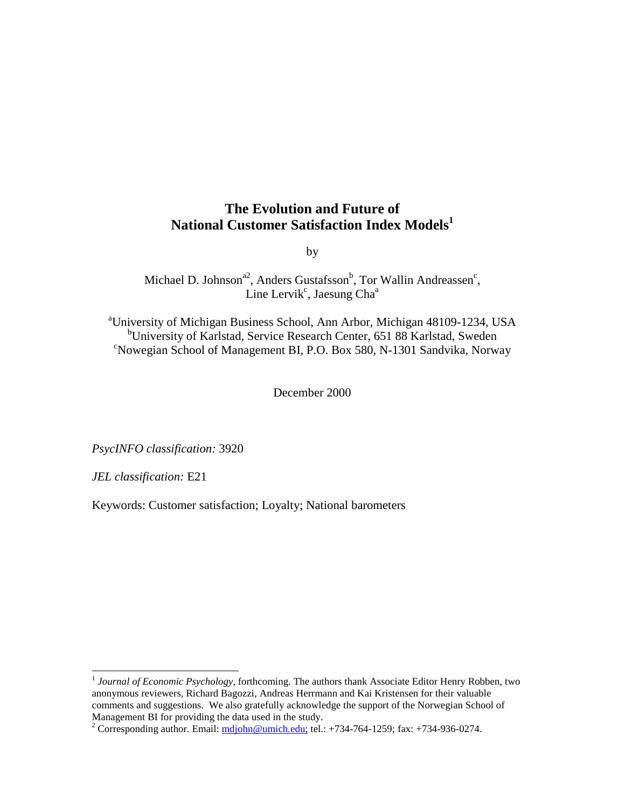## **The Evolution and Future of National Customer Satisfaction Index Models1**

by

Michael D. Johnson<sup>a2</sup>, Anders Gustafsson<sup>b</sup>, Tor Wallin Andreassen<sup>c</sup>, Line Lervik<sup>c</sup>, Jaesung Cha<sup>a</sup>

<sup>a</sup>University of Michigan Business School, Ann Arbor, Michigan 48109-1234, USA <sup>b</sup>University of Karlstad, Service Research Center, 651 88 Karlstad, Sweden Nowegian School of Management BI, P.O. Box 580, N-1301 Sandvika, Norway

December 2000

*PsycINFO classification:* 3920

*JEL classification:* E21

 $\overline{a}$ 

Keywords: Customer satisfaction; Loyalty; National barometers

<sup>&</sup>lt;sup>1</sup> *Journal of Economic Psychology*, forthcoming. The authors thank Associate Editor Henry Robben, two anonymous reviewers, Richard Bagozzi, Andreas Herrmann and Kai Kristensen for their valuable comments and suggestions. We also gratefully acknowledge the support of the Norwegian School of Management BI for providing the data used in the study.

<sup>&</sup>lt;sup>2</sup> Corresponding author. Email:  $\frac{midom(\theta) \cdot m}{\theta}$  mich.edu; tel.: +734-764-1259; fax: +734-936-0274.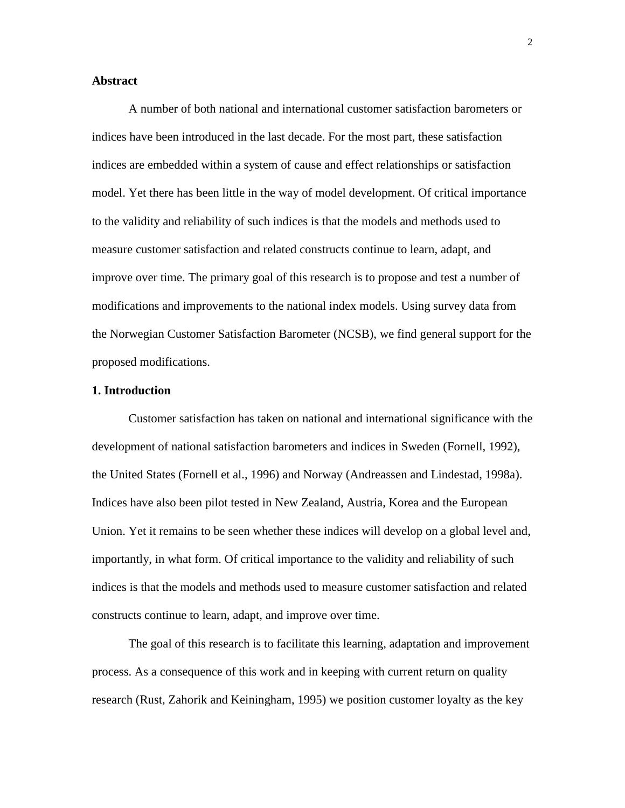## **Abstract**

A number of both national and international customer satisfaction barometers or indices have been introduced in the last decade. For the most part, these satisfaction indices are embedded within a system of cause and effect relationships or satisfaction model. Yet there has been little in the way of model development. Of critical importance to the validity and reliability of such indices is that the models and methods used to measure customer satisfaction and related constructs continue to learn, adapt, and improve over time. The primary goal of this research is to propose and test a number of modifications and improvements to the national index models. Using survey data from the Norwegian Customer Satisfaction Barometer (NCSB), we find general support for the proposed modifications.

## **1. Introduction**

Customer satisfaction has taken on national and international significance with the development of national satisfaction barometers and indices in Sweden (Fornell, 1992), the United States (Fornell et al., 1996) and Norway (Andreassen and Lindestad, 1998a). Indices have also been pilot tested in New Zealand, Austria, Korea and the European Union. Yet it remains to be seen whether these indices will develop on a global level and, importantly, in what form. Of critical importance to the validity and reliability of such indices is that the models and methods used to measure customer satisfaction and related constructs continue to learn, adapt, and improve over time.

The goal of this research is to facilitate this learning, adaptation and improvement process. As a consequence of this work and in keeping with current return on quality research (Rust, Zahorik and Keiningham, 1995) we position customer loyalty as the key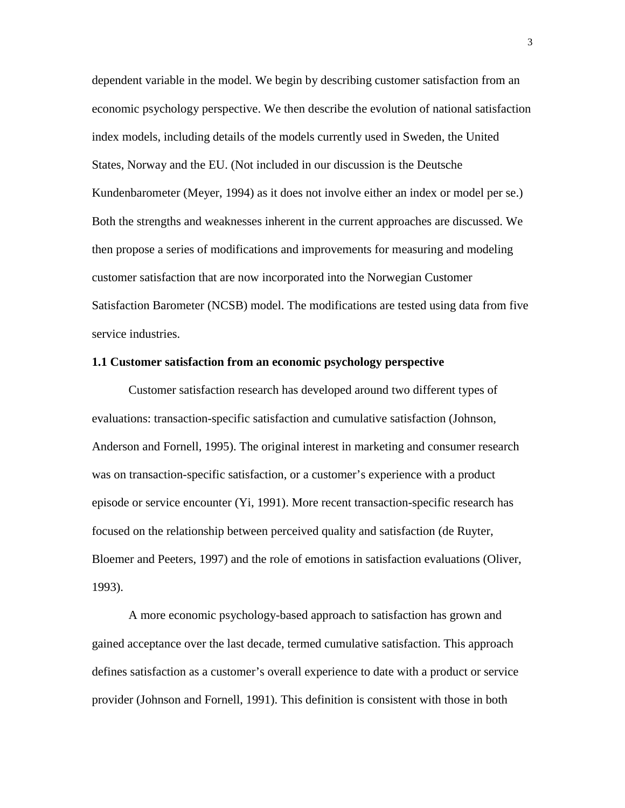dependent variable in the model. We begin by describing customer satisfaction from an economic psychology perspective. We then describe the evolution of national satisfaction index models, including details of the models currently used in Sweden, the United States, Norway and the EU. (Not included in our discussion is the Deutsche Kundenbarometer (Meyer, 1994) as it does not involve either an index or model per se.) Both the strengths and weaknesses inherent in the current approaches are discussed. We then propose a series of modifications and improvements for measuring and modeling customer satisfaction that are now incorporated into the Norwegian Customer Satisfaction Barometer (NCSB) model. The modifications are tested using data from five service industries.

#### **1.1 Customer satisfaction from an economic psychology perspective**

Customer satisfaction research has developed around two different types of evaluations: transaction-specific satisfaction and cumulative satisfaction (Johnson, Anderson and Fornell, 1995). The original interest in marketing and consumer research was on transaction-specific satisfaction, or a customer's experience with a product episode or service encounter (Yi, 1991). More recent transaction-specific research has focused on the relationship between perceived quality and satisfaction (de Ruyter, Bloemer and Peeters, 1997) and the role of emotions in satisfaction evaluations (Oliver, 1993).

A more economic psychology-based approach to satisfaction has grown and gained acceptance over the last decade, termed cumulative satisfaction. This approach defines satisfaction as a customer's overall experience to date with a product or service provider (Johnson and Fornell, 1991). This definition is consistent with those in both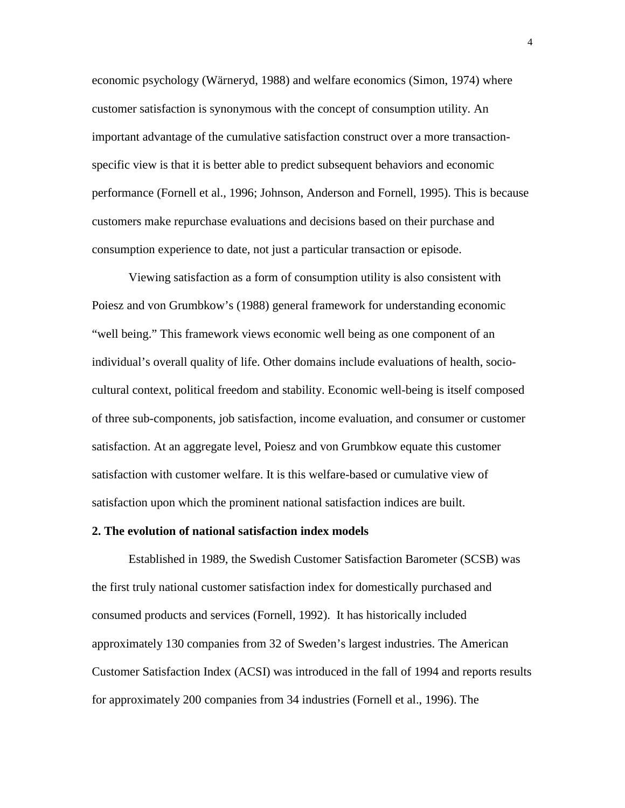economic psychology (Wärneryd, 1988) and welfare economics (Simon, 1974) where customer satisfaction is synonymous with the concept of consumption utility. An important advantage of the cumulative satisfaction construct over a more transactionspecific view is that it is better able to predict subsequent behaviors and economic performance (Fornell et al., 1996; Johnson, Anderson and Fornell, 1995). This is because customers make repurchase evaluations and decisions based on their purchase and consumption experience to date, not just a particular transaction or episode.

Viewing satisfaction as a form of consumption utility is also consistent with Poiesz and von Grumbkow's (1988) general framework for understanding economic "well being." This framework views economic well being as one component of an individual's overall quality of life. Other domains include evaluations of health, sociocultural context, political freedom and stability. Economic well-being is itself composed of three sub-components, job satisfaction, income evaluation, and consumer or customer satisfaction. At an aggregate level, Poiesz and von Grumbkow equate this customer satisfaction with customer welfare. It is this welfare-based or cumulative view of satisfaction upon which the prominent national satisfaction indices are built.

#### **2. The evolution of national satisfaction index models**

Established in 1989, the Swedish Customer Satisfaction Barometer (SCSB) was the first truly national customer satisfaction index for domestically purchased and consumed products and services (Fornell, 1992). It has historically included approximately 130 companies from 32 of Sweden's largest industries. The American Customer Satisfaction Index (ACSI) was introduced in the fall of 1994 and reports results for approximately 200 companies from 34 industries (Fornell et al., 1996). The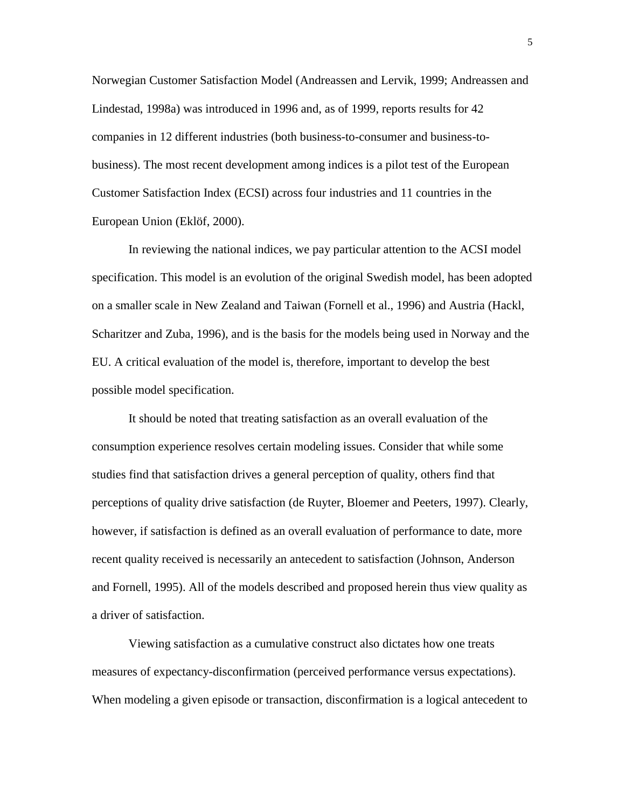Norwegian Customer Satisfaction Model (Andreassen and Lervik, 1999; Andreassen and Lindestad, 1998a) was introduced in 1996 and, as of 1999, reports results for 42 companies in 12 different industries (both business-to-consumer and business-tobusiness). The most recent development among indices is a pilot test of the European Customer Satisfaction Index (ECSI) across four industries and 11 countries in the European Union (Eklöf, 2000).

In reviewing the national indices, we pay particular attention to the ACSI model specification. This model is an evolution of the original Swedish model, has been adopted on a smaller scale in New Zealand and Taiwan (Fornell et al., 1996) and Austria (Hackl, Scharitzer and Zuba, 1996), and is the basis for the models being used in Norway and the EU. A critical evaluation of the model is, therefore, important to develop the best possible model specification.

It should be noted that treating satisfaction as an overall evaluation of the consumption experience resolves certain modeling issues. Consider that while some studies find that satisfaction drives a general perception of quality, others find that perceptions of quality drive satisfaction (de Ruyter, Bloemer and Peeters, 1997). Clearly, however, if satisfaction is defined as an overall evaluation of performance to date, more recent quality received is necessarily an antecedent to satisfaction (Johnson, Anderson and Fornell, 1995). All of the models described and proposed herein thus view quality as a driver of satisfaction.

Viewing satisfaction as a cumulative construct also dictates how one treats measures of expectancy-disconfirmation (perceived performance versus expectations). When modeling a given episode or transaction, disconfirmation is a logical antecedent to

5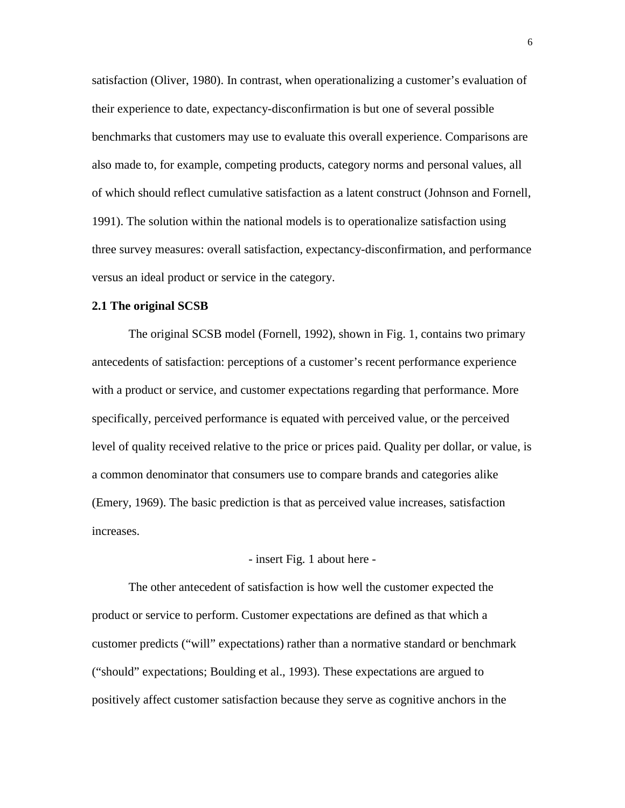satisfaction (Oliver, 1980). In contrast, when operationalizing a customer's evaluation of their experience to date, expectancy-disconfirmation is but one of several possible benchmarks that customers may use to evaluate this overall experience. Comparisons are also made to, for example, competing products, category norms and personal values, all of which should reflect cumulative satisfaction as a latent construct (Johnson and Fornell, 1991). The solution within the national models is to operationalize satisfaction using three survey measures: overall satisfaction, expectancy-disconfirmation, and performance versus an ideal product or service in the category.

## **2.1 The original SCSB**

The original SCSB model (Fornell, 1992), shown in Fig. 1, contains two primary antecedents of satisfaction: perceptions of a customer's recent performance experience with a product or service, and customer expectations regarding that performance. More specifically, perceived performance is equated with perceived value, or the perceived level of quality received relative to the price or prices paid. Quality per dollar, or value, is a common denominator that consumers use to compare brands and categories alike (Emery, 1969). The basic prediction is that as perceived value increases, satisfaction increases.

#### - insert Fig. 1 about here -

The other antecedent of satisfaction is how well the customer expected the product or service to perform. Customer expectations are defined as that which a customer predicts ("will" expectations) rather than a normative standard or benchmark ("should" expectations; Boulding et al., 1993). These expectations are argued to positively affect customer satisfaction because they serve as cognitive anchors in the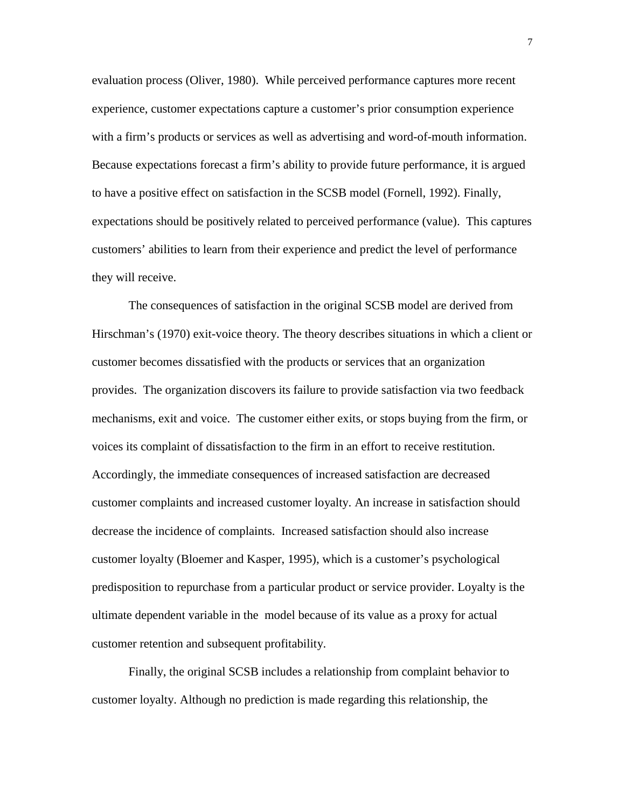evaluation process (Oliver, 1980). While perceived performance captures more recent experience, customer expectations capture a customer's prior consumption experience with a firm's products or services as well as advertising and word-of-mouth information. Because expectations forecast a firm's ability to provide future performance, it is argued to have a positive effect on satisfaction in the SCSB model (Fornell, 1992). Finally, expectations should be positively related to perceived performance (value). This captures customers' abilities to learn from their experience and predict the level of performance they will receive.

The consequences of satisfaction in the original SCSB model are derived from Hirschman's (1970) exit-voice theory. The theory describes situations in which a client or customer becomes dissatisfied with the products or services that an organization provides. The organization discovers its failure to provide satisfaction via two feedback mechanisms, exit and voice. The customer either exits, or stops buying from the firm, or voices its complaint of dissatisfaction to the firm in an effort to receive restitution. Accordingly, the immediate consequences of increased satisfaction are decreased customer complaints and increased customer loyalty. An increase in satisfaction should decrease the incidence of complaints. Increased satisfaction should also increase customer loyalty (Bloemer and Kasper, 1995), which is a customer's psychological predisposition to repurchase from a particular product or service provider. Loyalty is the ultimate dependent variable in the model because of its value as a proxy for actual customer retention and subsequent profitability.

Finally, the original SCSB includes a relationship from complaint behavior to customer loyalty. Although no prediction is made regarding this relationship, the

7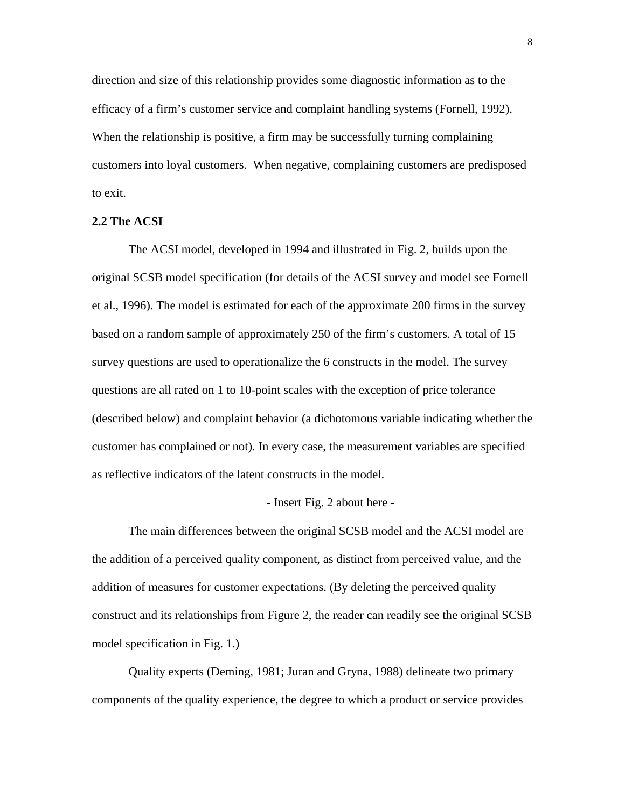direction and size of this relationship provides some diagnostic information as to the efficacy of a firm's customer service and complaint handling systems (Fornell, 1992). When the relationship is positive, a firm may be successfully turning complaining customers into loyal customers. When negative, complaining customers are predisposed to exit.

#### **2.2 The ACSI**

The ACSI model, developed in 1994 and illustrated in Fig. 2, builds upon the original SCSB model specification (for details of the ACSI survey and model see Fornell et al., 1996). The model is estimated for each of the approximate 200 firms in the survey based on a random sample of approximately 250 of the firm's customers. A total of 15 survey questions are used to operationalize the 6 constructs in the model. The survey questions are all rated on 1 to 10-point scales with the exception of price tolerance (described below) and complaint behavior (a dichotomous variable indicating whether the customer has complained or not). In every case, the measurement variables are specified as reflective indicators of the latent constructs in the model.

## - Insert Fig. 2 about here -

The main differences between the original SCSB model and the ACSI model are the addition of a perceived quality component, as distinct from perceived value, and the addition of measures for customer expectations. (By deleting the perceived quality construct and its relationships from Figure 2, the reader can readily see the original SCSB model specification in Fig. 1.)

Quality experts (Deming, 1981; Juran and Gryna, 1988) delineate two primary components of the quality experience, the degree to which a product or service provides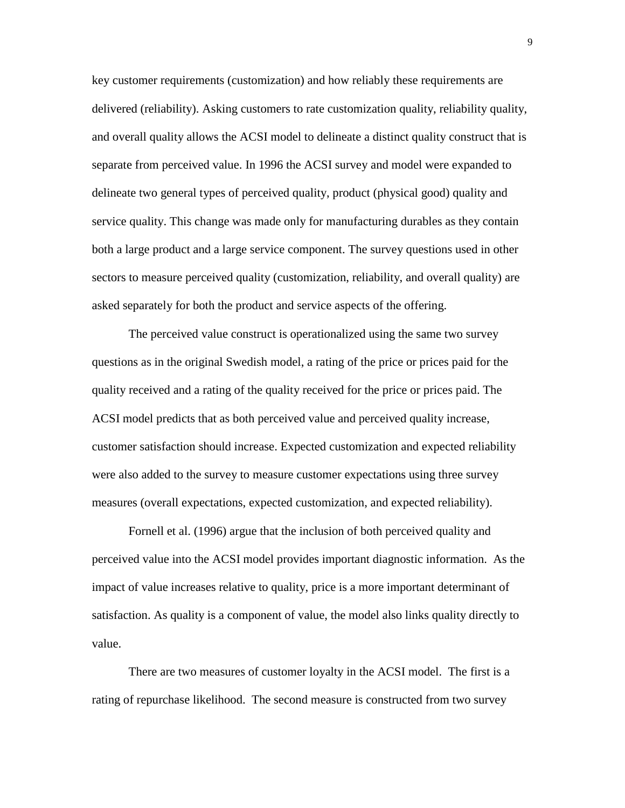key customer requirements (customization) and how reliably these requirements are delivered (reliability). Asking customers to rate customization quality, reliability quality, and overall quality allows the ACSI model to delineate a distinct quality construct that is separate from perceived value. In 1996 the ACSI survey and model were expanded to delineate two general types of perceived quality, product (physical good) quality and service quality. This change was made only for manufacturing durables as they contain both a large product and a large service component. The survey questions used in other sectors to measure perceived quality (customization, reliability, and overall quality) are asked separately for both the product and service aspects of the offering.

The perceived value construct is operationalized using the same two survey questions as in the original Swedish model, a rating of the price or prices paid for the quality received and a rating of the quality received for the price or prices paid. The ACSI model predicts that as both perceived value and perceived quality increase, customer satisfaction should increase. Expected customization and expected reliability were also added to the survey to measure customer expectations using three survey measures (overall expectations, expected customization, and expected reliability).

Fornell et al. (1996) argue that the inclusion of both perceived quality and perceived value into the ACSI model provides important diagnostic information. As the impact of value increases relative to quality, price is a more important determinant of satisfaction. As quality is a component of value, the model also links quality directly to value.

There are two measures of customer loyalty in the ACSI model. The first is a rating of repurchase likelihood. The second measure is constructed from two survey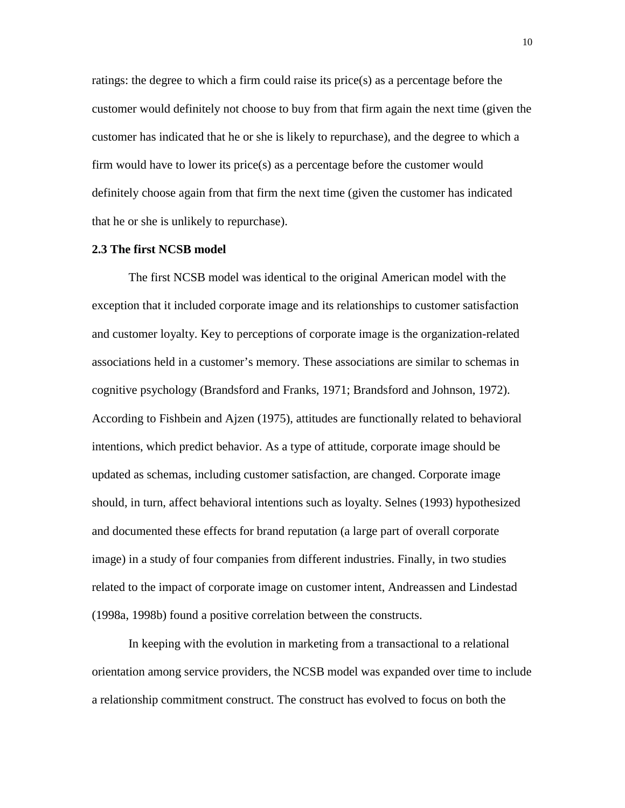ratings: the degree to which a firm could raise its price(s) as a percentage before the customer would definitely not choose to buy from that firm again the next time (given the customer has indicated that he or she is likely to repurchase), and the degree to which a firm would have to lower its price(s) as a percentage before the customer would definitely choose again from that firm the next time (given the customer has indicated that he or she is unlikely to repurchase).

#### **2.3 The first NCSB model**

The first NCSB model was identical to the original American model with the exception that it included corporate image and its relationships to customer satisfaction and customer loyalty. Key to perceptions of corporate image is the organization-related associations held in a customer's memory. These associations are similar to schemas in cognitive psychology (Brandsford and Franks, 1971; Brandsford and Johnson, 1972). According to Fishbein and Ajzen (1975), attitudes are functionally related to behavioral intentions, which predict behavior. As a type of attitude, corporate image should be updated as schemas, including customer satisfaction, are changed. Corporate image should, in turn, affect behavioral intentions such as loyalty. Selnes (1993) hypothesized and documented these effects for brand reputation (a large part of overall corporate image) in a study of four companies from different industries. Finally, in two studies related to the impact of corporate image on customer intent, Andreassen and Lindestad (1998a, 1998b) found a positive correlation between the constructs.

In keeping with the evolution in marketing from a transactional to a relational orientation among service providers, the NCSB model was expanded over time to include a relationship commitment construct. The construct has evolved to focus on both the

10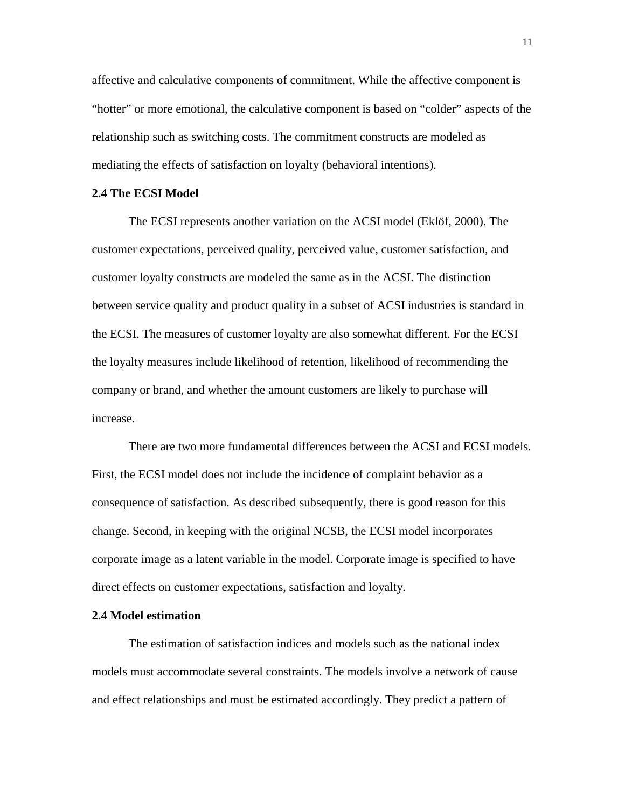affective and calculative components of commitment. While the affective component is "hotter" or more emotional, the calculative component is based on "colder" aspects of the relationship such as switching costs. The commitment constructs are modeled as mediating the effects of satisfaction on loyalty (behavioral intentions).

## **2.4 The ECSI Model**

The ECSI represents another variation on the ACSI model (Eklöf, 2000). The customer expectations, perceived quality, perceived value, customer satisfaction, and customer loyalty constructs are modeled the same as in the ACSI. The distinction between service quality and product quality in a subset of ACSI industries is standard in the ECSI. The measures of customer loyalty are also somewhat different. For the ECSI the loyalty measures include likelihood of retention, likelihood of recommending the company or brand, and whether the amount customers are likely to purchase will increase.

There are two more fundamental differences between the ACSI and ECSI models. First, the ECSI model does not include the incidence of complaint behavior as a consequence of satisfaction. As described subsequently, there is good reason for this change. Second, in keeping with the original NCSB, the ECSI model incorporates corporate image as a latent variable in the model. Corporate image is specified to have direct effects on customer expectations, satisfaction and loyalty.

#### **2.4 Model estimation**

The estimation of satisfaction indices and models such as the national index models must accommodate several constraints. The models involve a network of cause and effect relationships and must be estimated accordingly. They predict a pattern of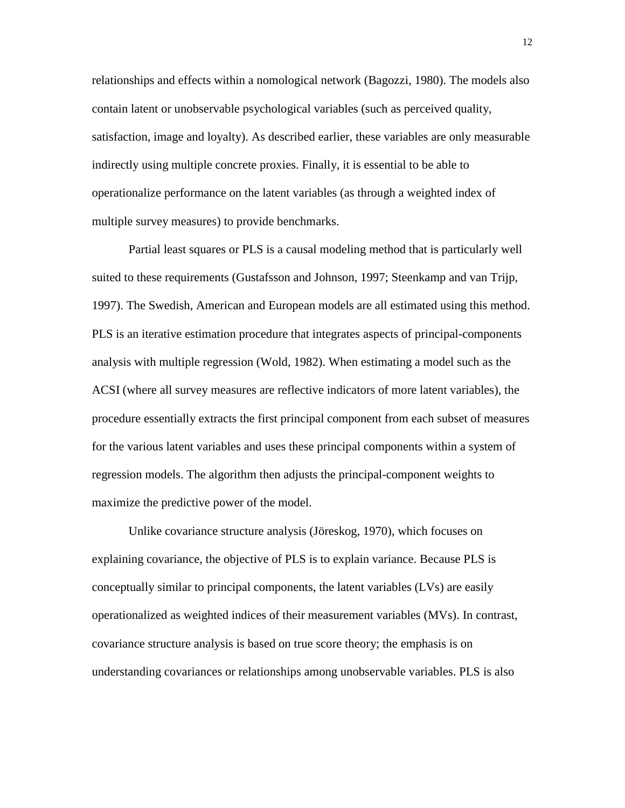relationships and effects within a nomological network (Bagozzi, 1980). The models also contain latent or unobservable psychological variables (such as perceived quality, satisfaction, image and loyalty). As described earlier, these variables are only measurable indirectly using multiple concrete proxies. Finally, it is essential to be able to operationalize performance on the latent variables (as through a weighted index of multiple survey measures) to provide benchmarks.

Partial least squares or PLS is a causal modeling method that is particularly well suited to these requirements (Gustafsson and Johnson, 1997; Steenkamp and van Trijp, 1997). The Swedish, American and European models are all estimated using this method. PLS is an iterative estimation procedure that integrates aspects of principal-components analysis with multiple regression (Wold, 1982). When estimating a model such as the ACSI (where all survey measures are reflective indicators of more latent variables), the procedure essentially extracts the first principal component from each subset of measures for the various latent variables and uses these principal components within a system of regression models. The algorithm then adjusts the principal-component weights to maximize the predictive power of the model.

Unlike covariance structure analysis (Jöreskog, 1970), which focuses on explaining covariance, the objective of PLS is to explain variance. Because PLS is conceptually similar to principal components, the latent variables (LVs) are easily operationalized as weighted indices of their measurement variables (MVs). In contrast, covariance structure analysis is based on true score theory; the emphasis is on understanding covariances or relationships among unobservable variables. PLS is also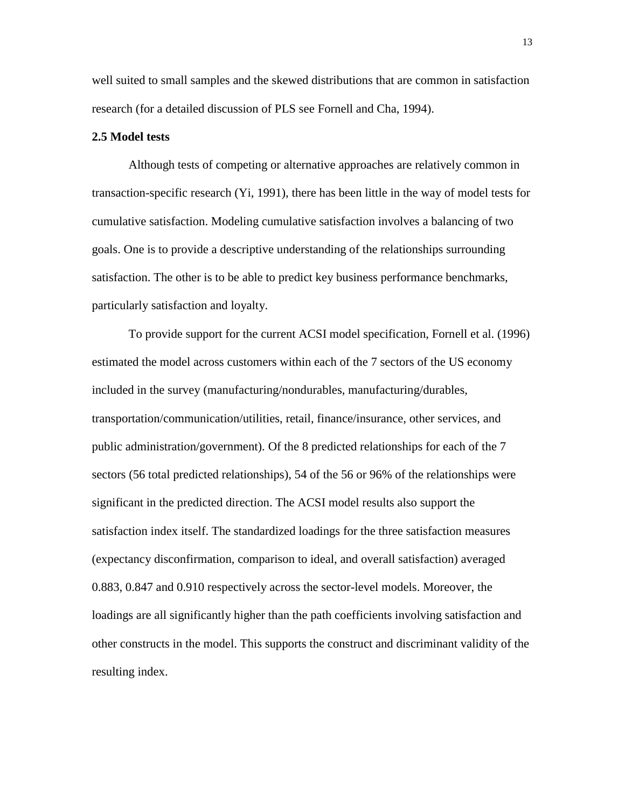well suited to small samples and the skewed distributions that are common in satisfaction research (for a detailed discussion of PLS see Fornell and Cha, 1994).

#### **2.5 Model tests**

Although tests of competing or alternative approaches are relatively common in transaction-specific research (Yi, 1991), there has been little in the way of model tests for cumulative satisfaction. Modeling cumulative satisfaction involves a balancing of two goals. One is to provide a descriptive understanding of the relationships surrounding satisfaction. The other is to be able to predict key business performance benchmarks, particularly satisfaction and loyalty.

To provide support for the current ACSI model specification, Fornell et al. (1996) estimated the model across customers within each of the 7 sectors of the US economy included in the survey (manufacturing/nondurables, manufacturing/durables, transportation/communication/utilities, retail, finance/insurance, other services, and public administration/government). Of the 8 predicted relationships for each of the 7 sectors (56 total predicted relationships), 54 of the 56 or 96% of the relationships were significant in the predicted direction. The ACSI model results also support the satisfaction index itself. The standardized loadings for the three satisfaction measures (expectancy disconfirmation, comparison to ideal, and overall satisfaction) averaged 0.883, 0.847 and 0.910 respectively across the sector-level models. Moreover, the loadings are all significantly higher than the path coefficients involving satisfaction and other constructs in the model. This supports the construct and discriminant validity of the resulting index.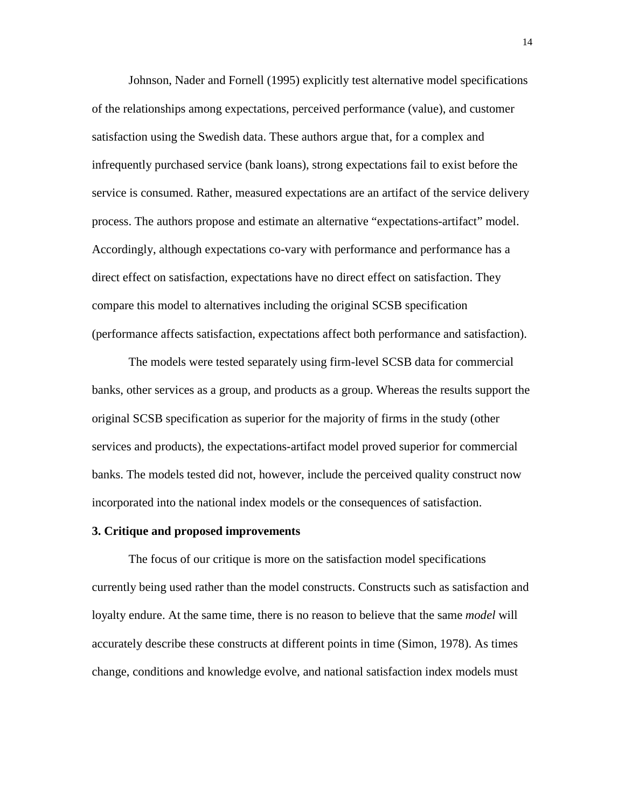Johnson, Nader and Fornell (1995) explicitly test alternative model specifications of the relationships among expectations, perceived performance (value), and customer satisfaction using the Swedish data. These authors argue that, for a complex and infrequently purchased service (bank loans), strong expectations fail to exist before the service is consumed. Rather, measured expectations are an artifact of the service delivery process. The authors propose and estimate an alternative "expectations-artifact" model. Accordingly, although expectations co-vary with performance and performance has a direct effect on satisfaction, expectations have no direct effect on satisfaction. They compare this model to alternatives including the original SCSB specification (performance affects satisfaction, expectations affect both performance and satisfaction).

The models were tested separately using firm-level SCSB data for commercial banks, other services as a group, and products as a group. Whereas the results support the original SCSB specification as superior for the majority of firms in the study (other services and products), the expectations-artifact model proved superior for commercial banks. The models tested did not, however, include the perceived quality construct now incorporated into the national index models or the consequences of satisfaction.

#### **3. Critique and proposed improvements**

The focus of our critique is more on the satisfaction model specifications currently being used rather than the model constructs. Constructs such as satisfaction and loyalty endure. At the same time, there is no reason to believe that the same *model* will accurately describe these constructs at different points in time (Simon, 1978). As times change, conditions and knowledge evolve, and national satisfaction index models must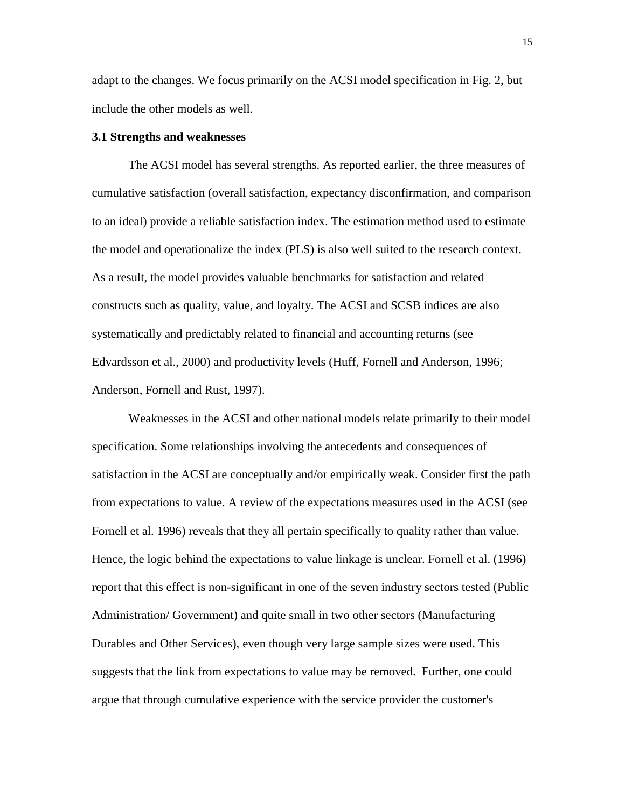adapt to the changes. We focus primarily on the ACSI model specification in Fig. 2, but include the other models as well.

## **3.1 Strengths and weaknesses**

The ACSI model has several strengths. As reported earlier, the three measures of cumulative satisfaction (overall satisfaction, expectancy disconfirmation, and comparison to an ideal) provide a reliable satisfaction index. The estimation method used to estimate the model and operationalize the index (PLS) is also well suited to the research context. As a result, the model provides valuable benchmarks for satisfaction and related constructs such as quality, value, and loyalty. The ACSI and SCSB indices are also systematically and predictably related to financial and accounting returns (see Edvardsson et al., 2000) and productivity levels (Huff, Fornell and Anderson, 1996; Anderson, Fornell and Rust, 1997).

Weaknesses in the ACSI and other national models relate primarily to their model specification. Some relationships involving the antecedents and consequences of satisfaction in the ACSI are conceptually and/or empirically weak. Consider first the path from expectations to value. A review of the expectations measures used in the ACSI (see Fornell et al. 1996) reveals that they all pertain specifically to quality rather than value. Hence, the logic behind the expectations to value linkage is unclear. Fornell et al. (1996) report that this effect is non-significant in one of the seven industry sectors tested (Public Administration/ Government) and quite small in two other sectors (Manufacturing Durables and Other Services), even though very large sample sizes were used. This suggests that the link from expectations to value may be removed. Further, one could argue that through cumulative experience with the service provider the customer's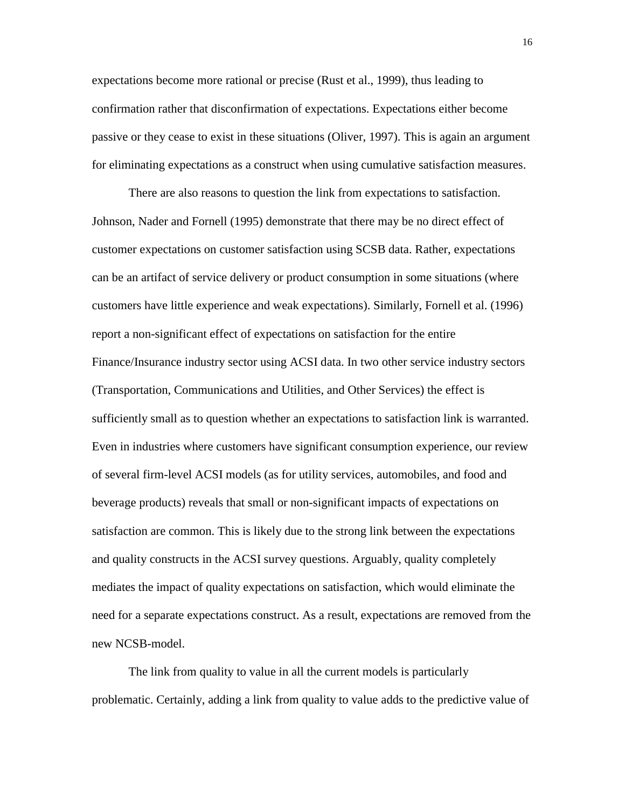expectations become more rational or precise (Rust et al., 1999), thus leading to confirmation rather that disconfirmation of expectations. Expectations either become passive or they cease to exist in these situations (Oliver, 1997). This is again an argument for eliminating expectations as a construct when using cumulative satisfaction measures.

There are also reasons to question the link from expectations to satisfaction. Johnson, Nader and Fornell (1995) demonstrate that there may be no direct effect of customer expectations on customer satisfaction using SCSB data. Rather, expectations can be an artifact of service delivery or product consumption in some situations (where customers have little experience and weak expectations). Similarly, Fornell et al. (1996) report a non-significant effect of expectations on satisfaction for the entire Finance/Insurance industry sector using ACSI data. In two other service industry sectors (Transportation, Communications and Utilities, and Other Services) the effect is sufficiently small as to question whether an expectations to satisfaction link is warranted. Even in industries where customers have significant consumption experience, our review of several firm-level ACSI models (as for utility services, automobiles, and food and beverage products) reveals that small or non-significant impacts of expectations on satisfaction are common. This is likely due to the strong link between the expectations and quality constructs in the ACSI survey questions. Arguably, quality completely mediates the impact of quality expectations on satisfaction, which would eliminate the need for a separate expectations construct. As a result, expectations are removed from the new NCSB-model.

The link from quality to value in all the current models is particularly problematic. Certainly, adding a link from quality to value adds to the predictive value of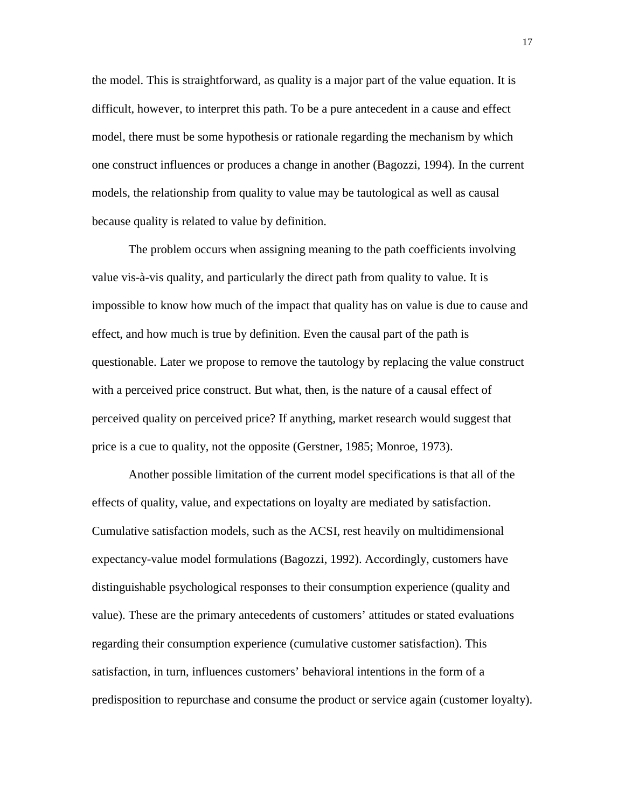the model. This is straightforward, as quality is a major part of the value equation. It is difficult, however, to interpret this path. To be a pure antecedent in a cause and effect model, there must be some hypothesis or rationale regarding the mechanism by which one construct influences or produces a change in another (Bagozzi, 1994). In the current models, the relationship from quality to value may be tautological as well as causal because quality is related to value by definition.

The problem occurs when assigning meaning to the path coefficients involving value vis-à-vis quality, and particularly the direct path from quality to value. It is impossible to know how much of the impact that quality has on value is due to cause and effect, and how much is true by definition. Even the causal part of the path is questionable. Later we propose to remove the tautology by replacing the value construct with a perceived price construct. But what, then, is the nature of a causal effect of perceived quality on perceived price? If anything, market research would suggest that price is a cue to quality, not the opposite (Gerstner, 1985; Monroe, 1973).

Another possible limitation of the current model specifications is that all of the effects of quality, value, and expectations on loyalty are mediated by satisfaction. Cumulative satisfaction models, such as the ACSI, rest heavily on multidimensional expectancy-value model formulations (Bagozzi, 1992). Accordingly, customers have distinguishable psychological responses to their consumption experience (quality and value). These are the primary antecedents of customers' attitudes or stated evaluations regarding their consumption experience (cumulative customer satisfaction). This satisfaction, in turn, influences customers' behavioral intentions in the form of a predisposition to repurchase and consume the product or service again (customer loyalty).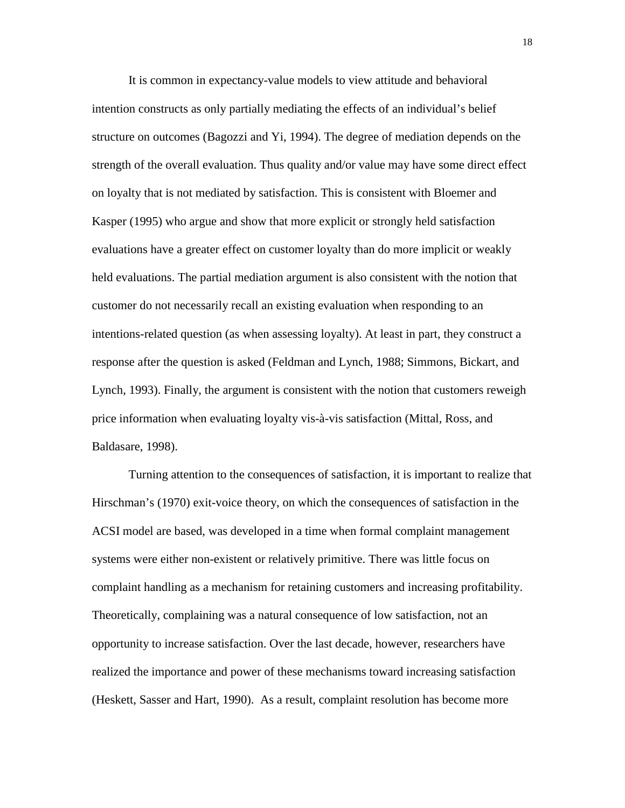It is common in expectancy-value models to view attitude and behavioral intention constructs as only partially mediating the effects of an individual's belief structure on outcomes (Bagozzi and Yi, 1994). The degree of mediation depends on the strength of the overall evaluation. Thus quality and/or value may have some direct effect on loyalty that is not mediated by satisfaction. This is consistent with Bloemer and Kasper (1995) who argue and show that more explicit or strongly held satisfaction evaluations have a greater effect on customer loyalty than do more implicit or weakly held evaluations. The partial mediation argument is also consistent with the notion that customer do not necessarily recall an existing evaluation when responding to an intentions-related question (as when assessing loyalty). At least in part, they construct a response after the question is asked (Feldman and Lynch, 1988; Simmons, Bickart, and Lynch, 1993). Finally, the argument is consistent with the notion that customers reweigh price information when evaluating loyalty vis-à-vis satisfaction (Mittal, Ross, and Baldasare, 1998).

Turning attention to the consequences of satisfaction, it is important to realize that Hirschman's (1970) exit-voice theory, on which the consequences of satisfaction in the ACSI model are based, was developed in a time when formal complaint management systems were either non-existent or relatively primitive. There was little focus on complaint handling as a mechanism for retaining customers and increasing profitability. Theoretically, complaining was a natural consequence of low satisfaction, not an opportunity to increase satisfaction. Over the last decade, however, researchers have realized the importance and power of these mechanisms toward increasing satisfaction (Heskett, Sasser and Hart, 1990). As a result, complaint resolution has become more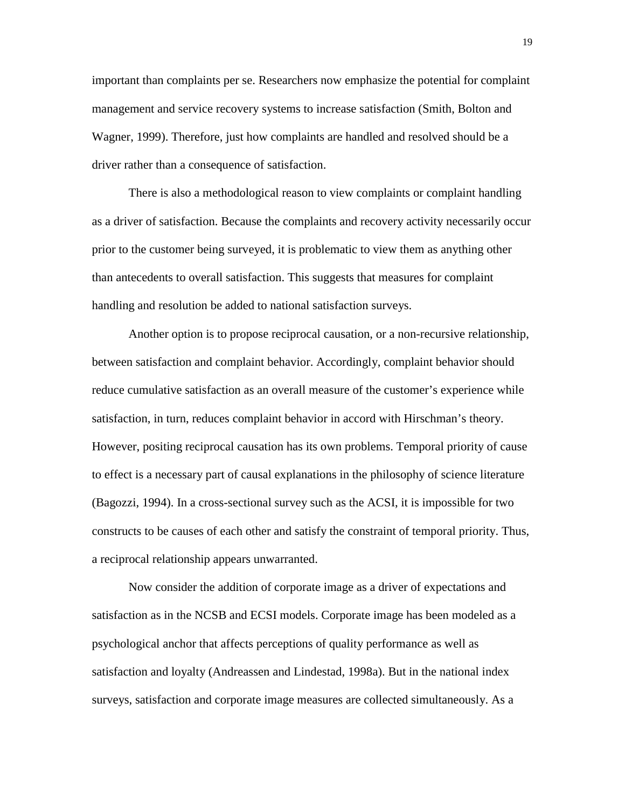important than complaints per se. Researchers now emphasize the potential for complaint management and service recovery systems to increase satisfaction (Smith, Bolton and Wagner, 1999). Therefore, just how complaints are handled and resolved should be a driver rather than a consequence of satisfaction.

There is also a methodological reason to view complaints or complaint handling as a driver of satisfaction. Because the complaints and recovery activity necessarily occur prior to the customer being surveyed, it is problematic to view them as anything other than antecedents to overall satisfaction. This suggests that measures for complaint handling and resolution be added to national satisfaction surveys.

Another option is to propose reciprocal causation, or a non-recursive relationship, between satisfaction and complaint behavior. Accordingly, complaint behavior should reduce cumulative satisfaction as an overall measure of the customer's experience while satisfaction, in turn, reduces complaint behavior in accord with Hirschman's theory. However, positing reciprocal causation has its own problems. Temporal priority of cause to effect is a necessary part of causal explanations in the philosophy of science literature (Bagozzi, 1994). In a cross-sectional survey such as the ACSI, it is impossible for two constructs to be causes of each other and satisfy the constraint of temporal priority. Thus, a reciprocal relationship appears unwarranted.

Now consider the addition of corporate image as a driver of expectations and satisfaction as in the NCSB and ECSI models. Corporate image has been modeled as a psychological anchor that affects perceptions of quality performance as well as satisfaction and loyalty (Andreassen and Lindestad, 1998a). But in the national index surveys, satisfaction and corporate image measures are collected simultaneously. As a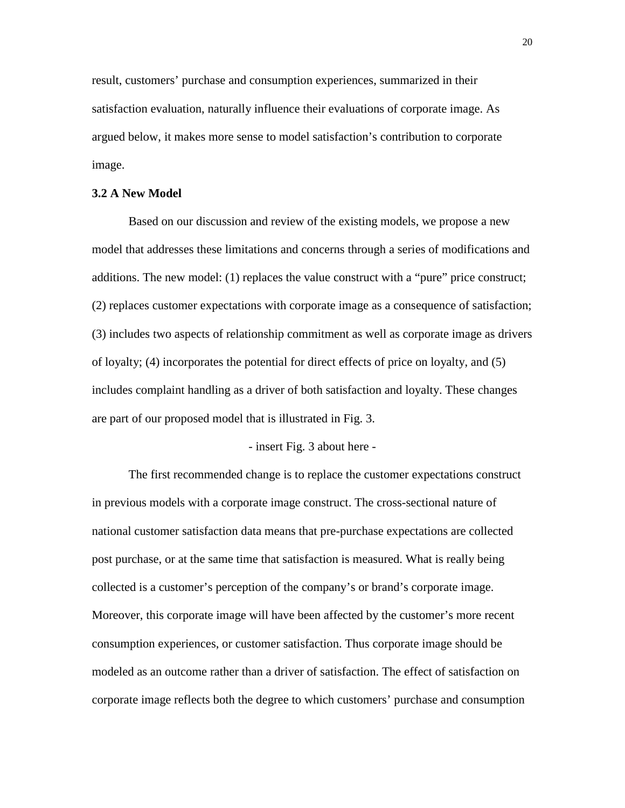result, customers' purchase and consumption experiences, summarized in their satisfaction evaluation, naturally influence their evaluations of corporate image. As argued below, it makes more sense to model satisfaction's contribution to corporate image.

#### **3.2 A New Model**

Based on our discussion and review of the existing models, we propose a new model that addresses these limitations and concerns through a series of modifications and additions. The new model: (1) replaces the value construct with a "pure" price construct; (2) replaces customer expectations with corporate image as a consequence of satisfaction; (3) includes two aspects of relationship commitment as well as corporate image as drivers of loyalty; (4) incorporates the potential for direct effects of price on loyalty, and (5) includes complaint handling as a driver of both satisfaction and loyalty. These changes are part of our proposed model that is illustrated in Fig. 3.

#### - insert Fig. 3 about here -

The first recommended change is to replace the customer expectations construct in previous models with a corporate image construct. The cross-sectional nature of national customer satisfaction data means that pre-purchase expectations are collected post purchase, or at the same time that satisfaction is measured. What is really being collected is a customer's perception of the company's or brand's corporate image. Moreover, this corporate image will have been affected by the customer's more recent consumption experiences, or customer satisfaction. Thus corporate image should be modeled as an outcome rather than a driver of satisfaction. The effect of satisfaction on corporate image reflects both the degree to which customers' purchase and consumption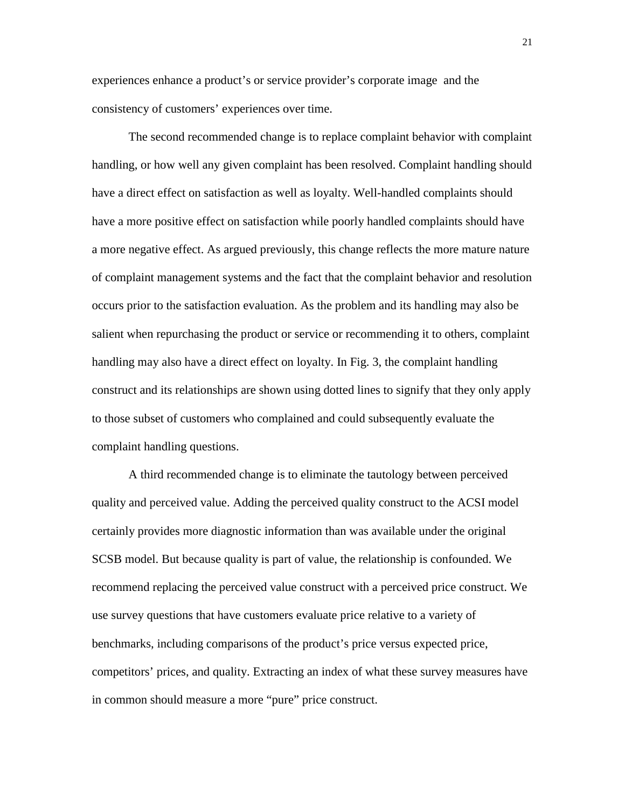experiences enhance a product's or service provider's corporate image and the consistency of customers' experiences over time.

The second recommended change is to replace complaint behavior with complaint handling, or how well any given complaint has been resolved. Complaint handling should have a direct effect on satisfaction as well as loyalty. Well-handled complaints should have a more positive effect on satisfaction while poorly handled complaints should have a more negative effect. As argued previously, this change reflects the more mature nature of complaint management systems and the fact that the complaint behavior and resolution occurs prior to the satisfaction evaluation. As the problem and its handling may also be salient when repurchasing the product or service or recommending it to others, complaint handling may also have a direct effect on loyalty. In Fig. 3, the complaint handling construct and its relationships are shown using dotted lines to signify that they only apply to those subset of customers who complained and could subsequently evaluate the complaint handling questions.

A third recommended change is to eliminate the tautology between perceived quality and perceived value. Adding the perceived quality construct to the ACSI model certainly provides more diagnostic information than was available under the original SCSB model. But because quality is part of value, the relationship is confounded. We recommend replacing the perceived value construct with a perceived price construct. We use survey questions that have customers evaluate price relative to a variety of benchmarks, including comparisons of the product's price versus expected price, competitors' prices, and quality. Extracting an index of what these survey measures have in common should measure a more "pure" price construct.

21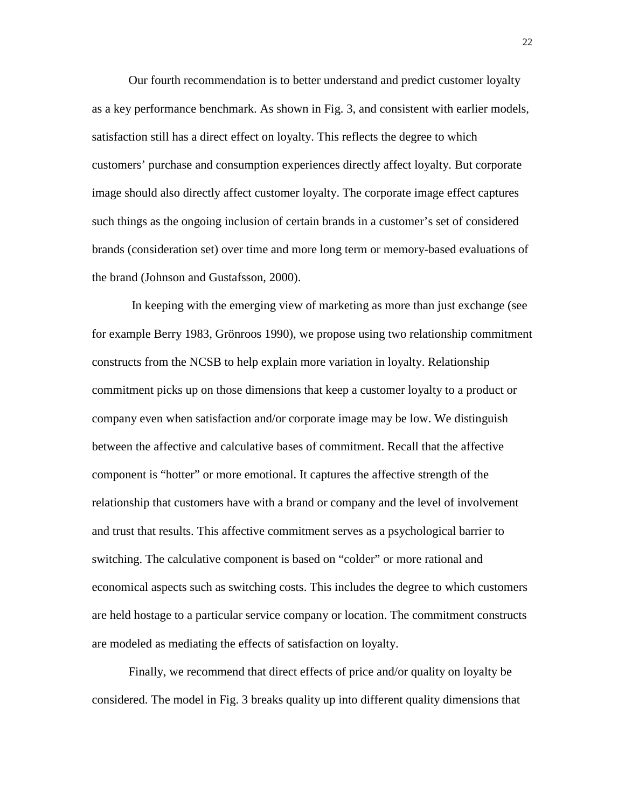Our fourth recommendation is to better understand and predict customer loyalty as a key performance benchmark. As shown in Fig. 3, and consistent with earlier models, satisfaction still has a direct effect on loyalty. This reflects the degree to which customers' purchase and consumption experiences directly affect loyalty. But corporate image should also directly affect customer loyalty. The corporate image effect captures such things as the ongoing inclusion of certain brands in a customer's set of considered brands (consideration set) over time and more long term or memory-based evaluations of the brand (Johnson and Gustafsson, 2000).

 In keeping with the emerging view of marketing as more than just exchange (see for example Berry 1983, Grönroos 1990), we propose using two relationship commitment constructs from the NCSB to help explain more variation in loyalty. Relationship commitment picks up on those dimensions that keep a customer loyalty to a product or company even when satisfaction and/or corporate image may be low. We distinguish between the affective and calculative bases of commitment. Recall that the affective component is "hotter" or more emotional. It captures the affective strength of the relationship that customers have with a brand or company and the level of involvement and trust that results. This affective commitment serves as a psychological barrier to switching. The calculative component is based on "colder" or more rational and economical aspects such as switching costs. This includes the degree to which customers are held hostage to a particular service company or location. The commitment constructs are modeled as mediating the effects of satisfaction on loyalty.

Finally, we recommend that direct effects of price and/or quality on loyalty be considered. The model in Fig. 3 breaks quality up into different quality dimensions that

22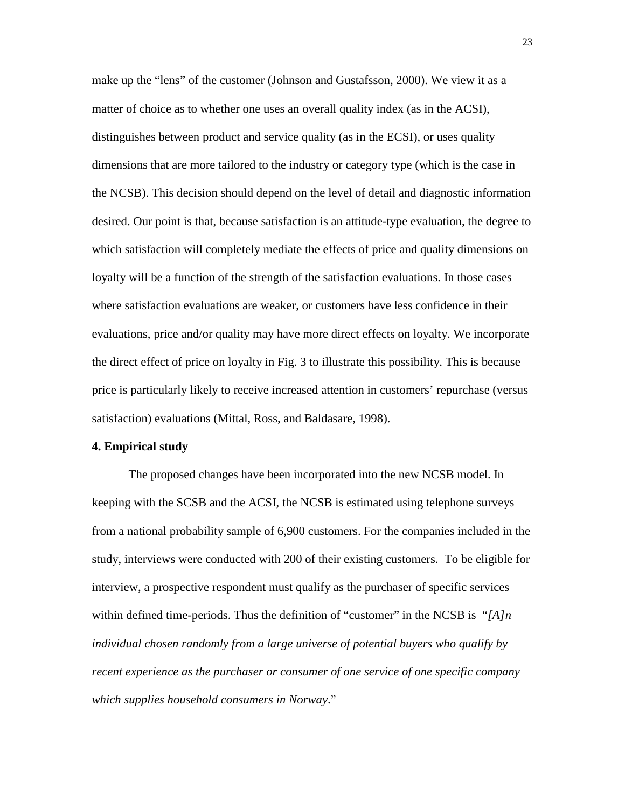make up the "lens" of the customer (Johnson and Gustafsson, 2000). We view it as a matter of choice as to whether one uses an overall quality index (as in the ACSI), distinguishes between product and service quality (as in the ECSI), or uses quality dimensions that are more tailored to the industry or category type (which is the case in the NCSB). This decision should depend on the level of detail and diagnostic information desired. Our point is that, because satisfaction is an attitude-type evaluation, the degree to which satisfaction will completely mediate the effects of price and quality dimensions on loyalty will be a function of the strength of the satisfaction evaluations. In those cases where satisfaction evaluations are weaker, or customers have less confidence in their evaluations, price and/or quality may have more direct effects on loyalty. We incorporate the direct effect of price on loyalty in Fig. 3 to illustrate this possibility. This is because price is particularly likely to receive increased attention in customers' repurchase (versus satisfaction) evaluations (Mittal, Ross, and Baldasare, 1998).

#### **4. Empirical study**

The proposed changes have been incorporated into the new NCSB model. In keeping with the SCSB and the ACSI, the NCSB is estimated using telephone surveys from a national probability sample of 6,900 customers. For the companies included in the study, interviews were conducted with 200 of their existing customers. To be eligible for interview, a prospective respondent must qualify as the purchaser of specific services within defined time-periods. Thus the definition of "customer" in the NCSB is "*[A]n individual chosen randomly from a large universe of potential buyers who qualify by recent experience as the purchaser or consumer of one service of one specific company which supplies household consumers in Norway*."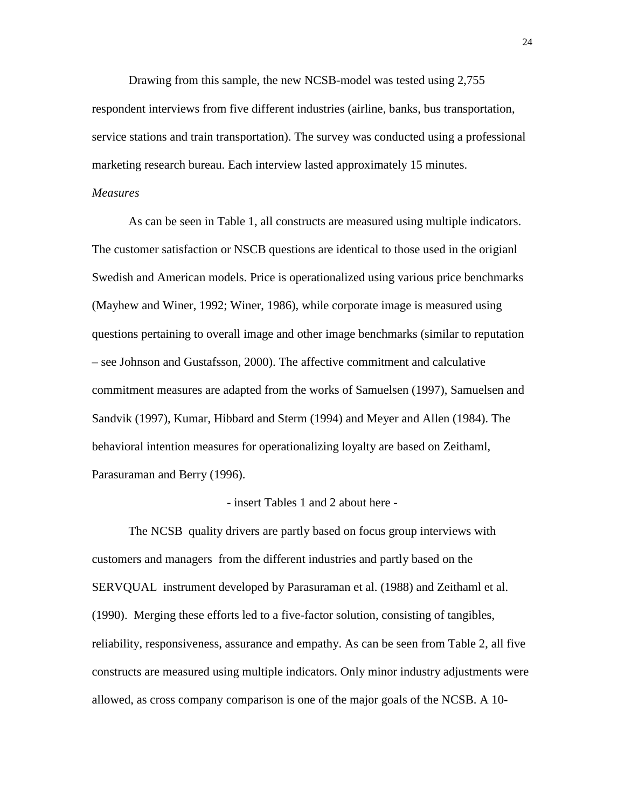Drawing from this sample, the new NCSB-model was tested using 2,755 respondent interviews from five different industries (airline, banks, bus transportation, service stations and train transportation). The survey was conducted using a professional marketing research bureau. Each interview lasted approximately 15 minutes.

#### *Measures*

As can be seen in Table 1, all constructs are measured using multiple indicators. The customer satisfaction or NSCB questions are identical to those used in the origianl Swedish and American models. Price is operationalized using various price benchmarks (Mayhew and Winer, 1992; Winer, 1986), while corporate image is measured using questions pertaining to overall image and other image benchmarks (similar to reputation – see Johnson and Gustafsson, 2000). The affective commitment and calculative commitment measures are adapted from the works of Samuelsen (1997), Samuelsen and Sandvik (1997), Kumar, Hibbard and Sterm (1994) and Meyer and Allen (1984). The behavioral intention measures for operationalizing loyalty are based on Zeithaml, Parasuraman and Berry (1996).

#### - insert Tables 1 and 2 about here -

The NCSB quality drivers are partly based on focus group interviews with customers and managers from the different industries and partly based on the SERVQUAL instrument developed by Parasuraman et al. (1988) and Zeithaml et al. (1990). Merging these efforts led to a five-factor solution, consisting of tangibles, reliability, responsiveness, assurance and empathy. As can be seen from Table 2, all five constructs are measured using multiple indicators. Only minor industry adjustments were allowed, as cross company comparison is one of the major goals of the NCSB. A 10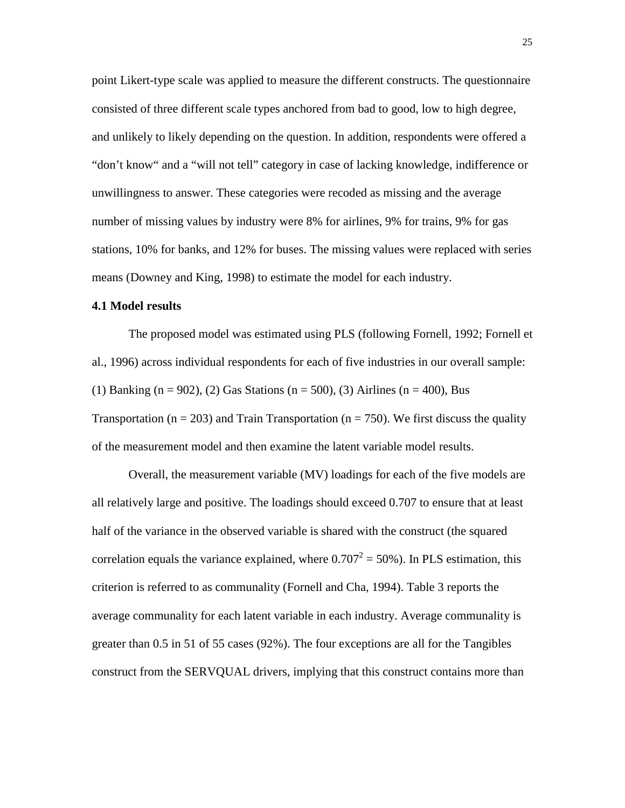point Likert-type scale was applied to measure the different constructs. The questionnaire consisted of three different scale types anchored from bad to good, low to high degree, and unlikely to likely depending on the question. In addition, respondents were offered a "don't know" and a "will not tell" category in case of lacking knowledge, indifference or unwillingness to answer. These categories were recoded as missing and the average number of missing values by industry were 8% for airlines, 9% for trains, 9% for gas stations, 10% for banks, and 12% for buses. The missing values were replaced with series means (Downey and King, 1998) to estimate the model for each industry.

## **4.1 Model results**

The proposed model was estimated using PLS (following Fornell, 1992; Fornell et al., 1996) across individual respondents for each of five industries in our overall sample: (1) Banking (n = 902), (2) Gas Stations (n = 500), (3) Airlines (n = 400), Bus Transportation ( $n = 203$ ) and Train Transportation ( $n = 750$ ). We first discuss the quality of the measurement model and then examine the latent variable model results.

Overall, the measurement variable (MV) loadings for each of the five models are all relatively large and positive. The loadings should exceed 0.707 to ensure that at least half of the variance in the observed variable is shared with the construct (the squared correlation equals the variance explained, where  $0.707^2 = 50\%$ ). In PLS estimation, this criterion is referred to as communality (Fornell and Cha, 1994). Table 3 reports the average communality for each latent variable in each industry. Average communality is greater than 0.5 in 51 of 55 cases (92%). The four exceptions are all for the Tangibles construct from the SERVQUAL drivers, implying that this construct contains more than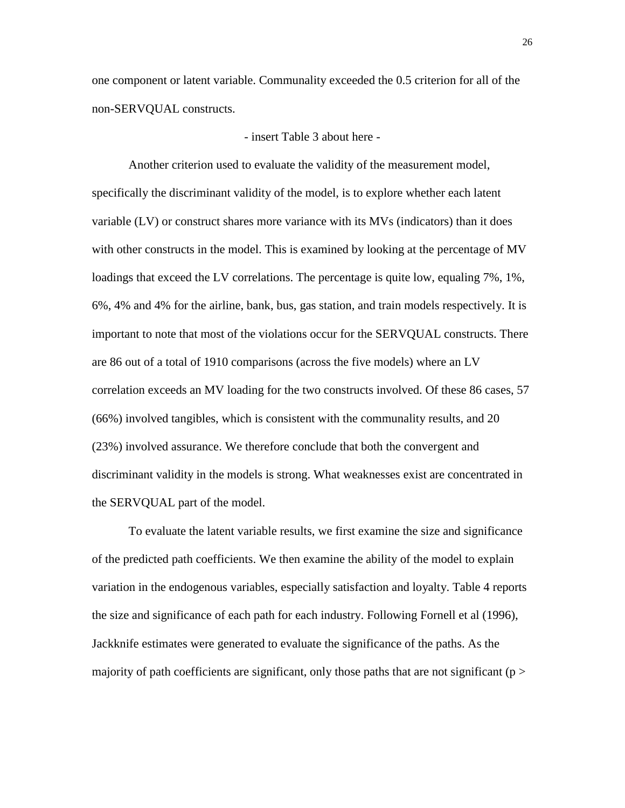one component or latent variable. Communality exceeded the 0.5 criterion for all of the non-SERVQUAL constructs.

- insert Table 3 about here -

Another criterion used to evaluate the validity of the measurement model, specifically the discriminant validity of the model, is to explore whether each latent variable (LV) or construct shares more variance with its MVs (indicators) than it does with other constructs in the model. This is examined by looking at the percentage of MV loadings that exceed the LV correlations. The percentage is quite low, equaling 7%, 1%, 6%, 4% and 4% for the airline, bank, bus, gas station, and train models respectively. It is important to note that most of the violations occur for the SERVQUAL constructs. There are 86 out of a total of 1910 comparisons (across the five models) where an LV correlation exceeds an MV loading for the two constructs involved. Of these 86 cases, 57 (66%) involved tangibles, which is consistent with the communality results, and 20 (23%) involved assurance. We therefore conclude that both the convergent and discriminant validity in the models is strong. What weaknesses exist are concentrated in the SERVQUAL part of the model.

To evaluate the latent variable results, we first examine the size and significance of the predicted path coefficients. We then examine the ability of the model to explain variation in the endogenous variables, especially satisfaction and loyalty. Table 4 reports the size and significance of each path for each industry. Following Fornell et al (1996), Jackknife estimates were generated to evaluate the significance of the paths. As the majority of path coefficients are significant, only those paths that are not significant ( $p >$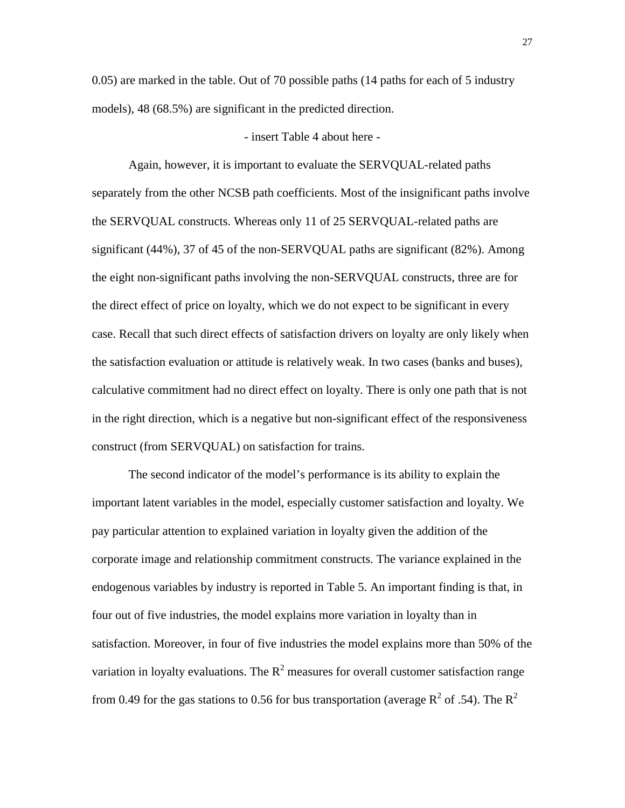0.05) are marked in the table. Out of 70 possible paths (14 paths for each of 5 industry models), 48 (68.5%) are significant in the predicted direction.

#### - insert Table 4 about here -

Again, however, it is important to evaluate the SERVQUAL-related paths separately from the other NCSB path coefficients. Most of the insignificant paths involve the SERVQUAL constructs. Whereas only 11 of 25 SERVQUAL-related paths are significant (44%), 37 of 45 of the non-SERVQUAL paths are significant (82%). Among the eight non-significant paths involving the non-SERVQUAL constructs, three are for the direct effect of price on loyalty, which we do not expect to be significant in every case. Recall that such direct effects of satisfaction drivers on loyalty are only likely when the satisfaction evaluation or attitude is relatively weak. In two cases (banks and buses), calculative commitment had no direct effect on loyalty. There is only one path that is not in the right direction, which is a negative but non-significant effect of the responsiveness construct (from SERVQUAL) on satisfaction for trains.

The second indicator of the model's performance is its ability to explain the important latent variables in the model, especially customer satisfaction and loyalty. We pay particular attention to explained variation in loyalty given the addition of the corporate image and relationship commitment constructs. The variance explained in the endogenous variables by industry is reported in Table 5. An important finding is that, in four out of five industries, the model explains more variation in loyalty than in satisfaction. Moreover, in four of five industries the model explains more than 50% of the variation in loyalty evaluations. The  $R^2$  measures for overall customer satisfaction range from 0.49 for the gas stations to 0.56 for bus transportation (average  $R^2$  of .54). The  $R^2$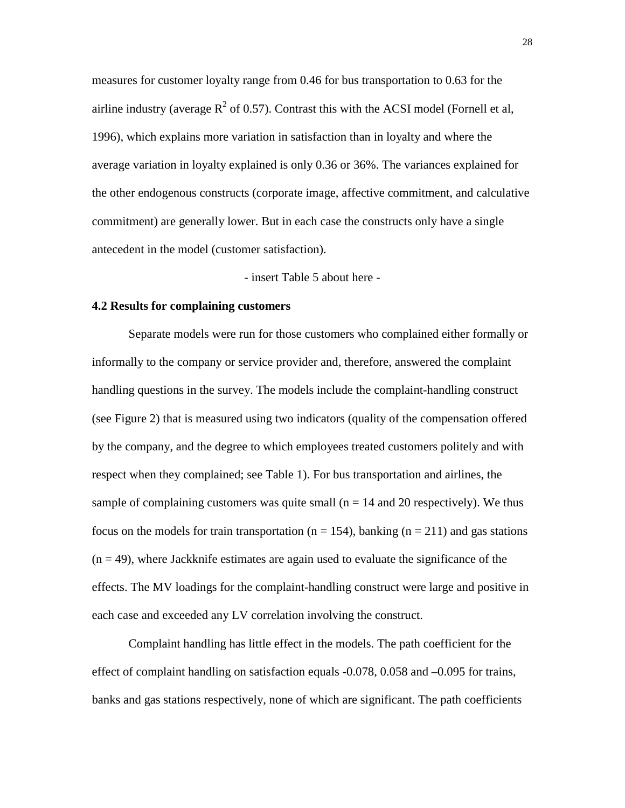measures for customer loyalty range from 0.46 for bus transportation to 0.63 for the airline industry (average  $R^2$  of 0.57). Contrast this with the ACSI model (Fornell et al, 1996), which explains more variation in satisfaction than in loyalty and where the average variation in loyalty explained is only 0.36 or 36%. The variances explained for the other endogenous constructs (corporate image, affective commitment, and calculative commitment) are generally lower. But in each case the constructs only have a single antecedent in the model (customer satisfaction).

- insert Table 5 about here -

#### **4.2 Results for complaining customers**

Separate models were run for those customers who complained either formally or informally to the company or service provider and, therefore, answered the complaint handling questions in the survey. The models include the complaint-handling construct (see Figure 2) that is measured using two indicators (quality of the compensation offered by the company, and the degree to which employees treated customers politely and with respect when they complained; see Table 1). For bus transportation and airlines, the sample of complaining customers was quite small ( $n = 14$  and 20 respectively). We thus focus on the models for train transportation ( $n = 154$ ), banking ( $n = 211$ ) and gas stations  $(n = 49)$ , where Jackknife estimates are again used to evaluate the significance of the effects. The MV loadings for the complaint-handling construct were large and positive in each case and exceeded any LV correlation involving the construct.

Complaint handling has little effect in the models. The path coefficient for the effect of complaint handling on satisfaction equals -0.078, 0.058 and –0.095 for trains, banks and gas stations respectively, none of which are significant. The path coefficients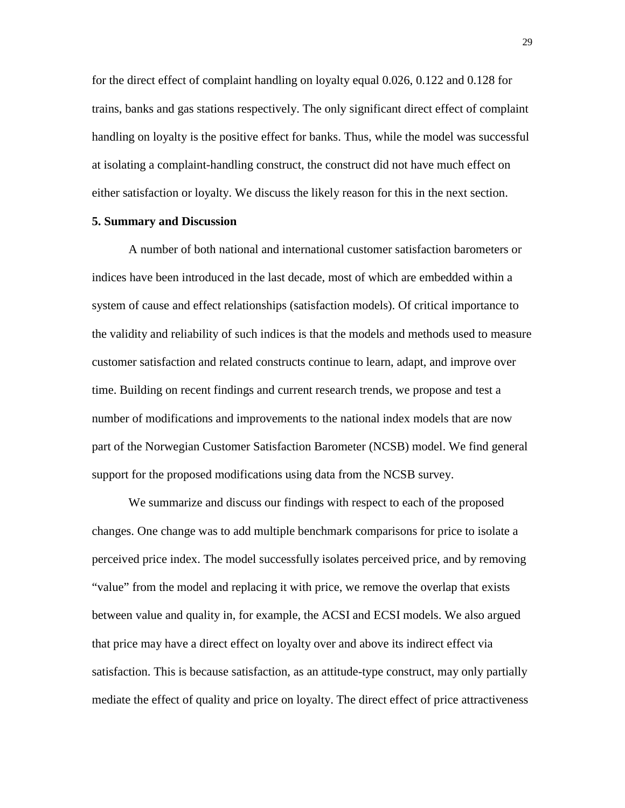for the direct effect of complaint handling on loyalty equal 0.026, 0.122 and 0.128 for trains, banks and gas stations respectively. The only significant direct effect of complaint handling on loyalty is the positive effect for banks. Thus, while the model was successful at isolating a complaint-handling construct, the construct did not have much effect on either satisfaction or loyalty. We discuss the likely reason for this in the next section.

## **5. Summary and Discussion**

A number of both national and international customer satisfaction barometers or indices have been introduced in the last decade, most of which are embedded within a system of cause and effect relationships (satisfaction models). Of critical importance to the validity and reliability of such indices is that the models and methods used to measure customer satisfaction and related constructs continue to learn, adapt, and improve over time. Building on recent findings and current research trends, we propose and test a number of modifications and improvements to the national index models that are now part of the Norwegian Customer Satisfaction Barometer (NCSB) model. We find general support for the proposed modifications using data from the NCSB survey.

We summarize and discuss our findings with respect to each of the proposed changes. One change was to add multiple benchmark comparisons for price to isolate a perceived price index. The model successfully isolates perceived price, and by removing "value" from the model and replacing it with price, we remove the overlap that exists between value and quality in, for example, the ACSI and ECSI models. We also argued that price may have a direct effect on loyalty over and above its indirect effect via satisfaction. This is because satisfaction, as an attitude-type construct, may only partially mediate the effect of quality and price on loyalty. The direct effect of price attractiveness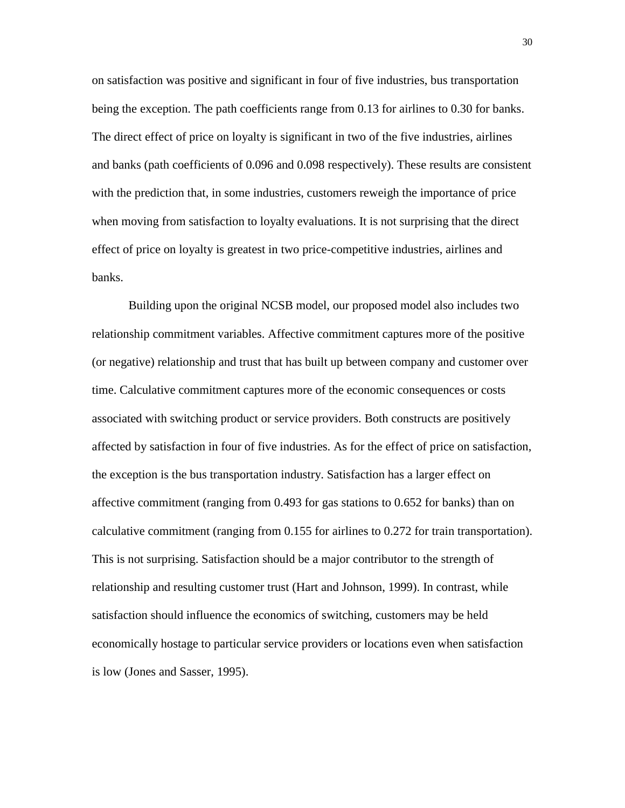on satisfaction was positive and significant in four of five industries, bus transportation being the exception. The path coefficients range from 0.13 for airlines to 0.30 for banks. The direct effect of price on loyalty is significant in two of the five industries, airlines and banks (path coefficients of 0.096 and 0.098 respectively). These results are consistent with the prediction that, in some industries, customers reweigh the importance of price when moving from satisfaction to loyalty evaluations. It is not surprising that the direct effect of price on loyalty is greatest in two price-competitive industries, airlines and banks.

Building upon the original NCSB model, our proposed model also includes two relationship commitment variables. Affective commitment captures more of the positive (or negative) relationship and trust that has built up between company and customer over time. Calculative commitment captures more of the economic consequences or costs associated with switching product or service providers. Both constructs are positively affected by satisfaction in four of five industries. As for the effect of price on satisfaction, the exception is the bus transportation industry. Satisfaction has a larger effect on affective commitment (ranging from 0.493 for gas stations to 0.652 for banks) than on calculative commitment (ranging from 0.155 for airlines to 0.272 for train transportation). This is not surprising. Satisfaction should be a major contributor to the strength of relationship and resulting customer trust (Hart and Johnson, 1999). In contrast, while satisfaction should influence the economics of switching, customers may be held economically hostage to particular service providers or locations even when satisfaction is low (Jones and Sasser, 1995).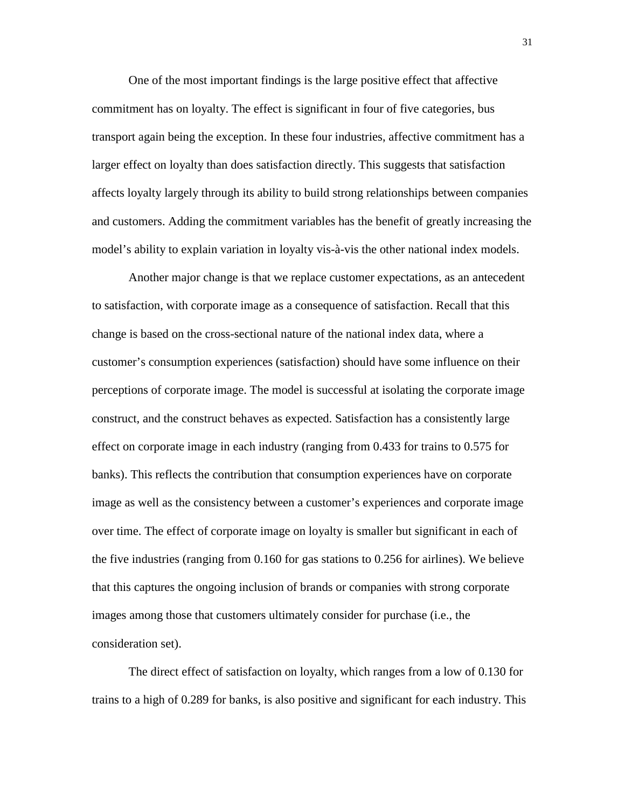One of the most important findings is the large positive effect that affective commitment has on loyalty. The effect is significant in four of five categories, bus transport again being the exception. In these four industries, affective commitment has a larger effect on loyalty than does satisfaction directly. This suggests that satisfaction affects loyalty largely through its ability to build strong relationships between companies and customers. Adding the commitment variables has the benefit of greatly increasing the model's ability to explain variation in loyalty vis-à-vis the other national index models.

Another major change is that we replace customer expectations, as an antecedent to satisfaction, with corporate image as a consequence of satisfaction. Recall that this change is based on the cross-sectional nature of the national index data, where a customer's consumption experiences (satisfaction) should have some influence on their perceptions of corporate image. The model is successful at isolating the corporate image construct, and the construct behaves as expected. Satisfaction has a consistently large effect on corporate image in each industry (ranging from 0.433 for trains to 0.575 for banks). This reflects the contribution that consumption experiences have on corporate image as well as the consistency between a customer's experiences and corporate image over time. The effect of corporate image on loyalty is smaller but significant in each of the five industries (ranging from 0.160 for gas stations to 0.256 for airlines). We believe that this captures the ongoing inclusion of brands or companies with strong corporate images among those that customers ultimately consider for purchase (i.e., the consideration set).

The direct effect of satisfaction on loyalty, which ranges from a low of 0.130 for trains to a high of 0.289 for banks, is also positive and significant for each industry. This

31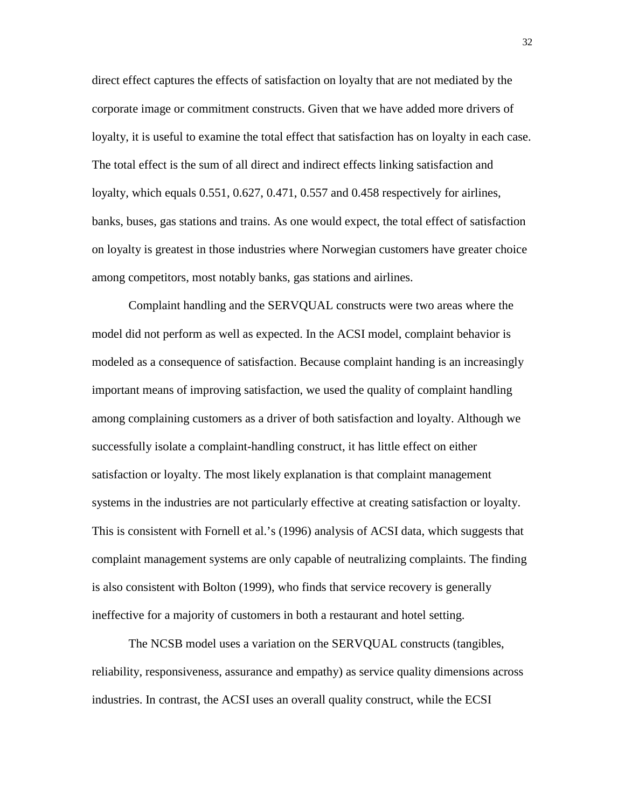direct effect captures the effects of satisfaction on loyalty that are not mediated by the corporate image or commitment constructs. Given that we have added more drivers of loyalty, it is useful to examine the total effect that satisfaction has on loyalty in each case. The total effect is the sum of all direct and indirect effects linking satisfaction and loyalty, which equals 0.551, 0.627, 0.471, 0.557 and 0.458 respectively for airlines, banks, buses, gas stations and trains. As one would expect, the total effect of satisfaction on loyalty is greatest in those industries where Norwegian customers have greater choice among competitors, most notably banks, gas stations and airlines.

Complaint handling and the SERVQUAL constructs were two areas where the model did not perform as well as expected. In the ACSI model, complaint behavior is modeled as a consequence of satisfaction. Because complaint handing is an increasingly important means of improving satisfaction, we used the quality of complaint handling among complaining customers as a driver of both satisfaction and loyalty. Although we successfully isolate a complaint-handling construct, it has little effect on either satisfaction or loyalty. The most likely explanation is that complaint management systems in the industries are not particularly effective at creating satisfaction or loyalty. This is consistent with Fornell et al.'s (1996) analysis of ACSI data, which suggests that complaint management systems are only capable of neutralizing complaints. The finding is also consistent with Bolton (1999), who finds that service recovery is generally ineffective for a majority of customers in both a restaurant and hotel setting.

The NCSB model uses a variation on the SERVQUAL constructs (tangibles, reliability, responsiveness, assurance and empathy) as service quality dimensions across industries. In contrast, the ACSI uses an overall quality construct, while the ECSI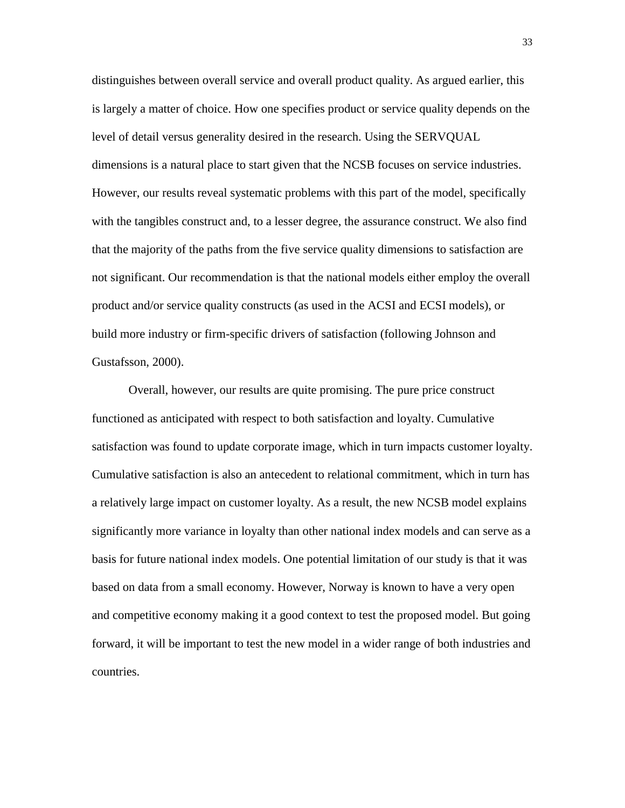distinguishes between overall service and overall product quality. As argued earlier, this is largely a matter of choice. How one specifies product or service quality depends on the level of detail versus generality desired in the research. Using the SERVQUAL dimensions is a natural place to start given that the NCSB focuses on service industries. However, our results reveal systematic problems with this part of the model, specifically with the tangibles construct and, to a lesser degree, the assurance construct. We also find that the majority of the paths from the five service quality dimensions to satisfaction are not significant. Our recommendation is that the national models either employ the overall product and/or service quality constructs (as used in the ACSI and ECSI models), or build more industry or firm-specific drivers of satisfaction (following Johnson and Gustafsson, 2000).

Overall, however, our results are quite promising. The pure price construct functioned as anticipated with respect to both satisfaction and loyalty. Cumulative satisfaction was found to update corporate image, which in turn impacts customer loyalty. Cumulative satisfaction is also an antecedent to relational commitment, which in turn has a relatively large impact on customer loyalty. As a result, the new NCSB model explains significantly more variance in loyalty than other national index models and can serve as a basis for future national index models. One potential limitation of our study is that it was based on data from a small economy. However, Norway is known to have a very open and competitive economy making it a good context to test the proposed model. But going forward, it will be important to test the new model in a wider range of both industries and countries.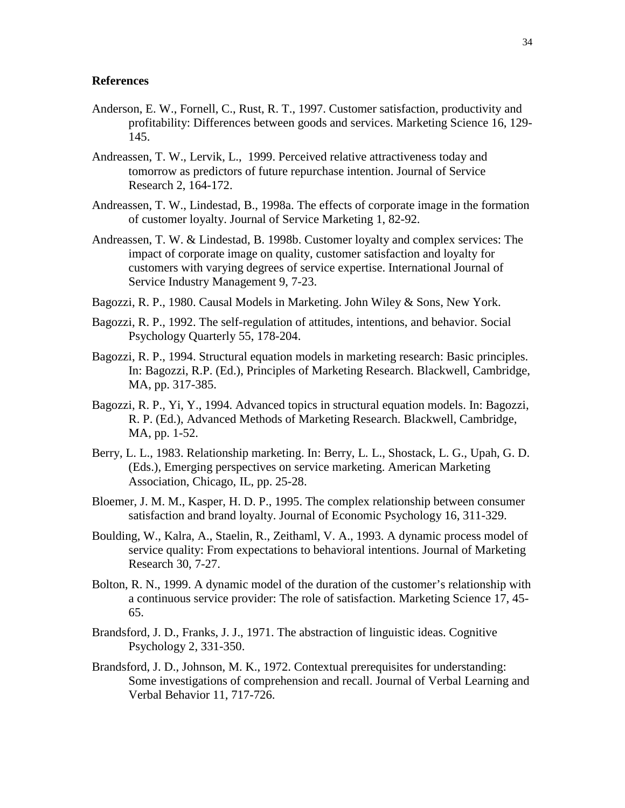#### **References**

- Anderson, E. W., Fornell, C., Rust, R. T., 1997. Customer satisfaction, productivity and profitability: Differences between goods and services. Marketing Science 16, 129- 145.
- Andreassen, T. W., Lervik, L., 1999. Perceived relative attractiveness today and tomorrow as predictors of future repurchase intention. Journal of Service Research 2, 164-172.
- Andreassen, T. W., Lindestad, B., 1998a. The effects of corporate image in the formation of customer loyalty. Journal of Service Marketing 1, 82-92.
- Andreassen, T. W. & Lindestad, B. 1998b. Customer loyalty and complex services: The impact of corporate image on quality, customer satisfaction and loyalty for customers with varying degrees of service expertise. International Journal of Service Industry Management 9, 7-23.
- Bagozzi, R. P., 1980. Causal Models in Marketing. John Wiley & Sons, New York.
- Bagozzi, R. P., 1992. The self-regulation of attitudes, intentions, and behavior. Social Psychology Quarterly 55, 178-204.
- Bagozzi, R. P., 1994. Structural equation models in marketing research: Basic principles. In: Bagozzi, R.P. (Ed.), Principles of Marketing Research. Blackwell, Cambridge, MA, pp. 317-385.
- Bagozzi, R. P., Yi, Y., 1994. Advanced topics in structural equation models. In: Bagozzi, R. P. (Ed.), Advanced Methods of Marketing Research. Blackwell, Cambridge, MA, pp. 1-52.
- Berry, L. L., 1983. Relationship marketing. In: Berry, L. L., Shostack, L. G., Upah, G. D. (Eds.), Emerging perspectives on service marketing. American Marketing Association, Chicago, IL, pp. 25-28.
- Bloemer, J. M. M., Kasper, H. D. P., 1995. The complex relationship between consumer satisfaction and brand loyalty. Journal of Economic Psychology 16, 311-329.
- Boulding, W., Kalra, A., Staelin, R., Zeithaml, V. A., 1993. A dynamic process model of service quality: From expectations to behavioral intentions. Journal of Marketing Research 30, 7-27.
- Bolton, R. N., 1999. A dynamic model of the duration of the customer's relationship with a continuous service provider: The role of satisfaction. Marketing Science 17, 45- 65.
- Brandsford, J. D., Franks, J. J., 1971. The abstraction of linguistic ideas. Cognitive Psychology 2, 331-350.
- Brandsford, J. D., Johnson, M. K., 1972. Contextual prerequisites for understanding: Some investigations of comprehension and recall. Journal of Verbal Learning and Verbal Behavior 11, 717-726.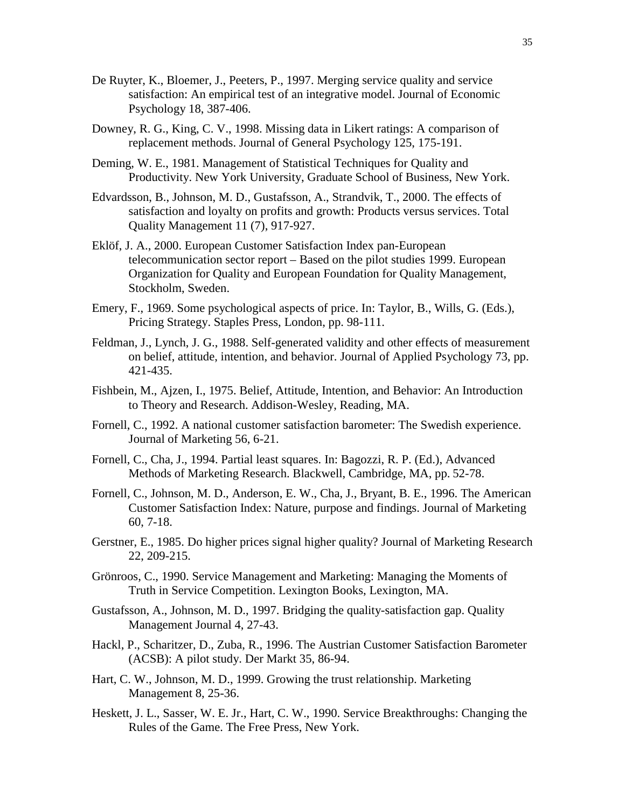- De Ruyter, K., Bloemer, J., Peeters, P., 1997. Merging service quality and service satisfaction: An empirical test of an integrative model. Journal of Economic Psychology 18, 387-406.
- Downey, R. G., King, C. V., 1998. Missing data in Likert ratings: A comparison of replacement methods. Journal of General Psychology 125, 175-191.
- Deming, W. E., 1981. Management of Statistical Techniques for Quality and Productivity. New York University, Graduate School of Business, New York.
- Edvardsson, B., Johnson, M. D., Gustafsson, A., Strandvik, T., 2000. The effects of satisfaction and loyalty on profits and growth: Products versus services. Total Quality Management 11 (7), 917-927.
- Eklöf, J. A., 2000. European Customer Satisfaction Index pan-European telecommunication sector report – Based on the pilot studies 1999. European Organization for Quality and European Foundation for Quality Management, Stockholm, Sweden.
- Emery, F., 1969. Some psychological aspects of price. In: Taylor, B., Wills, G. (Eds.), Pricing Strategy. Staples Press, London, pp. 98-111.
- Feldman, J., Lynch, J. G., 1988. Self-generated validity and other effects of measurement on belief, attitude, intention, and behavior. Journal of Applied Psychology 73, pp. 421-435.
- Fishbein, M., Ajzen, I., 1975. Belief, Attitude, Intention, and Behavior: An Introduction to Theory and Research. Addison-Wesley, Reading, MA.
- Fornell, C., 1992. A national customer satisfaction barometer: The Swedish experience. Journal of Marketing 56, 6-21.
- Fornell, C., Cha, J., 1994. Partial least squares. In: Bagozzi, R. P. (Ed.), Advanced Methods of Marketing Research. Blackwell, Cambridge, MA, pp. 52-78.
- Fornell, C., Johnson, M. D., Anderson, E. W., Cha, J., Bryant, B. E., 1996. The American Customer Satisfaction Index: Nature, purpose and findings. Journal of Marketing 60, 7-18.
- Gerstner, E., 1985. Do higher prices signal higher quality? Journal of Marketing Research 22, 209-215.
- Grönroos, C., 1990. Service Management and Marketing: Managing the Moments of Truth in Service Competition. Lexington Books, Lexington, MA.
- Gustafsson, A., Johnson, M. D., 1997. Bridging the quality-satisfaction gap. Quality Management Journal 4, 27-43.
- Hackl, P., Scharitzer, D., Zuba, R., 1996. The Austrian Customer Satisfaction Barometer (ACSB): A pilot study. Der Markt 35, 86-94.
- Hart, C. W., Johnson, M. D., 1999. Growing the trust relationship. Marketing Management 8, 25-36.
- Heskett, J. L., Sasser, W. E. Jr., Hart, C. W., 1990. Service Breakthroughs: Changing the Rules of the Game. The Free Press, New York.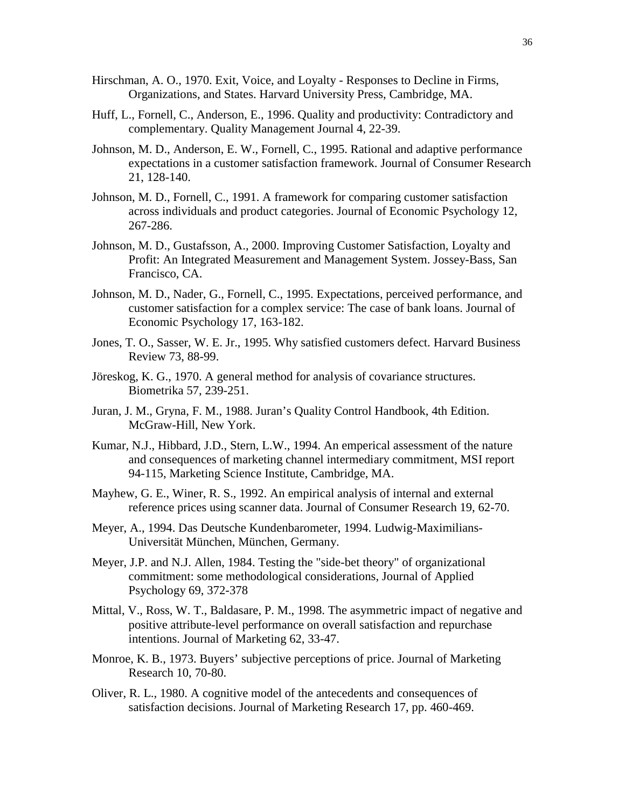- Hirschman, A. O., 1970. Exit, Voice, and Loyalty Responses to Decline in Firms, Organizations, and States. Harvard University Press, Cambridge, MA.
- Huff, L., Fornell, C., Anderson, E., 1996. Quality and productivity: Contradictory and complementary. Quality Management Journal 4, 22-39.
- Johnson, M. D., Anderson, E. W., Fornell, C., 1995. Rational and adaptive performance expectations in a customer satisfaction framework. Journal of Consumer Research 21, 128-140.
- Johnson, M. D., Fornell, C., 1991. A framework for comparing customer satisfaction across individuals and product categories. Journal of Economic Psychology 12, 267-286.
- Johnson, M. D., Gustafsson, A., 2000. Improving Customer Satisfaction, Loyalty and Profit: An Integrated Measurement and Management System. Jossey-Bass, San Francisco, CA.
- Johnson, M. D., Nader, G., Fornell, C., 1995. Expectations, perceived performance, and customer satisfaction for a complex service: The case of bank loans. Journal of Economic Psychology 17, 163-182.
- Jones, T. O., Sasser, W. E. Jr., 1995. Why satisfied customers defect. Harvard Business Review 73, 88-99.
- Jöreskog, K. G., 1970. A general method for analysis of covariance structures. Biometrika 57, 239-251.
- Juran, J. M., Gryna, F. M., 1988. Juran's Quality Control Handbook, 4th Edition. McGraw-Hill, New York.
- Kumar, N.J., Hibbard, J.D., Stern, L.W., 1994. An emperical assessment of the nature and consequences of marketing channel intermediary commitment, MSI report 94-115, Marketing Science Institute, Cambridge, MA.
- Mayhew, G. E., Winer, R. S., 1992. An empirical analysis of internal and external reference prices using scanner data. Journal of Consumer Research 19, 62-70.
- Meyer, A., 1994. Das Deutsche Kundenbarometer, 1994. Ludwig-Maximilians-Universität München, München, Germany.
- Meyer, J.P. and N.J. Allen, 1984. Testing the "side-bet theory" of organizational commitment: some methodological considerations, Journal of Applied Psychology 69, 372-378
- Mittal, V., Ross, W. T., Baldasare, P. M., 1998. The asymmetric impact of negative and positive attribute-level performance on overall satisfaction and repurchase intentions. Journal of Marketing 62, 33-47.
- Monroe, K. B., 1973. Buyers' subjective perceptions of price. Journal of Marketing Research 10, 70-80.
- Oliver, R. L., 1980. A cognitive model of the antecedents and consequences of satisfaction decisions. Journal of Marketing Research 17, pp. 460-469.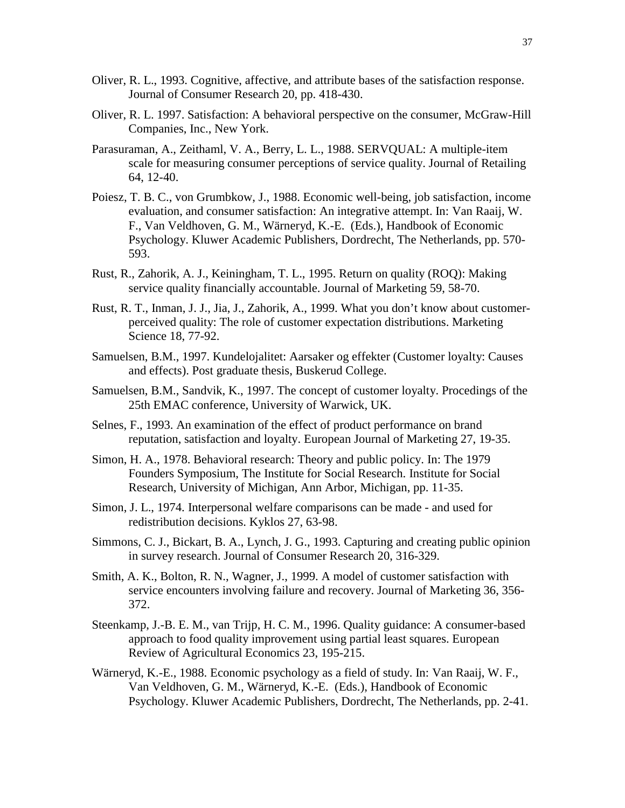- Oliver, R. L., 1993. Cognitive, affective, and attribute bases of the satisfaction response. Journal of Consumer Research 20, pp. 418-430.
- Oliver, R. L. 1997. Satisfaction: A behavioral perspective on the consumer, McGraw-Hill Companies, Inc., New York.
- Parasuraman, A., Zeithaml, V. A., Berry, L. L., 1988. SERVQUAL: A multiple-item scale for measuring consumer perceptions of service quality. Journal of Retailing 64, 12-40.
- Poiesz, T. B. C., von Grumbkow, J., 1988. Economic well-being, job satisfaction, income evaluation, and consumer satisfaction: An integrative attempt. In: Van Raaij, W. F., Van Veldhoven, G. M., Wärneryd, K.-E. (Eds.), Handbook of Economic Psychology. Kluwer Academic Publishers, Dordrecht, The Netherlands, pp. 570- 593.
- Rust, R., Zahorik, A. J., Keiningham, T. L., 1995. Return on quality (ROQ): Making service quality financially accountable. Journal of Marketing 59, 58-70.
- Rust, R. T., Inman, J. J., Jia, J., Zahorik, A., 1999. What you don't know about customerperceived quality: The role of customer expectation distributions. Marketing Science 18, 77-92.
- Samuelsen, B.M., 1997. Kundelojalitet: Aarsaker og effekter (Customer loyalty: Causes and effects). Post graduate thesis, Buskerud College.
- Samuelsen, B.M., Sandvik, K., 1997. The concept of customer loyalty. Procedings of the 25th EMAC conference, University of Warwick, UK.
- Selnes, F., 1993. An examination of the effect of product performance on brand reputation, satisfaction and loyalty. European Journal of Marketing 27, 19-35.
- Simon, H. A., 1978. Behavioral research: Theory and public policy. In: The 1979 Founders Symposium, The Institute for Social Research. Institute for Social Research, University of Michigan, Ann Arbor, Michigan, pp. 11-35.
- Simon, J. L., 1974. Interpersonal welfare comparisons can be made and used for redistribution decisions. Kyklos 27, 63-98.
- Simmons, C. J., Bickart, B. A., Lynch, J. G., 1993. Capturing and creating public opinion in survey research. Journal of Consumer Research 20, 316-329.
- Smith, A. K., Bolton, R. N., Wagner, J., 1999. A model of customer satisfaction with service encounters involving failure and recovery. Journal of Marketing 36, 356- 372.
- Steenkamp, J.-B. E. M., van Trijp, H. C. M., 1996. Quality guidance: A consumer-based approach to food quality improvement using partial least squares. European Review of Agricultural Economics 23, 195-215.
- Wärneryd, K.-E., 1988. Economic psychology as a field of study. In: Van Raaij, W. F., Van Veldhoven, G. M., Wärneryd, K.-E. (Eds.), Handbook of Economic Psychology. Kluwer Academic Publishers, Dordrecht, The Netherlands, pp. 2-41.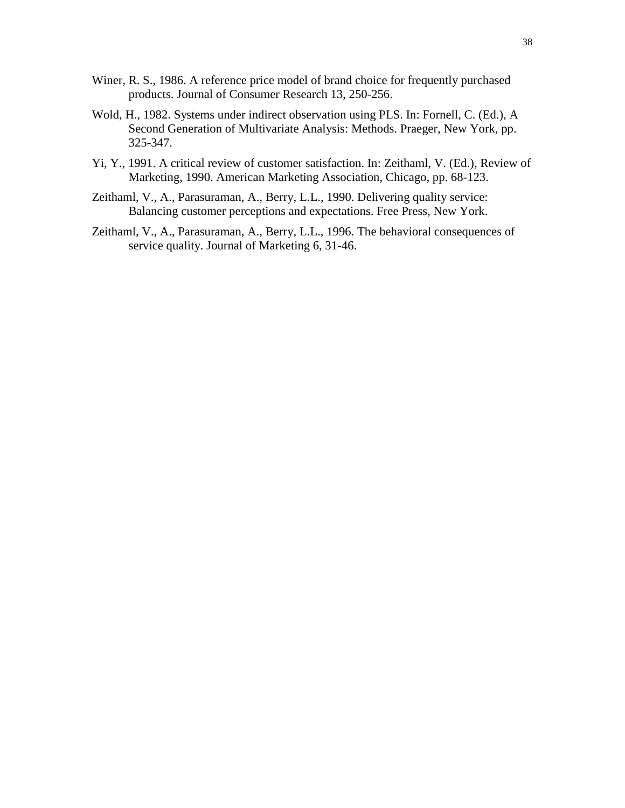- Winer, R. S., 1986. A reference price model of brand choice for frequently purchased products. Journal of Consumer Research 13, 250-256.
- Wold, H., 1982. Systems under indirect observation using PLS. In: Fornell, C. (Ed.), A Second Generation of Multivariate Analysis: Methods. Praeger, New York, pp. 325-347.
- Yi, Y., 1991. A critical review of customer satisfaction. In: Zeithaml, V. (Ed.), Review of Marketing, 1990. American Marketing Association, Chicago, pp. 68-123.
- Zeithaml, V., A., Parasuraman, A., Berry, L.L., 1990. Delivering quality service: Balancing customer perceptions and expectations. Free Press, New York.
- Zeithaml, V., A., Parasuraman, A., Berry, L.L., 1996. The behavioral consequences of service quality. Journal of Marketing 6, 31-46.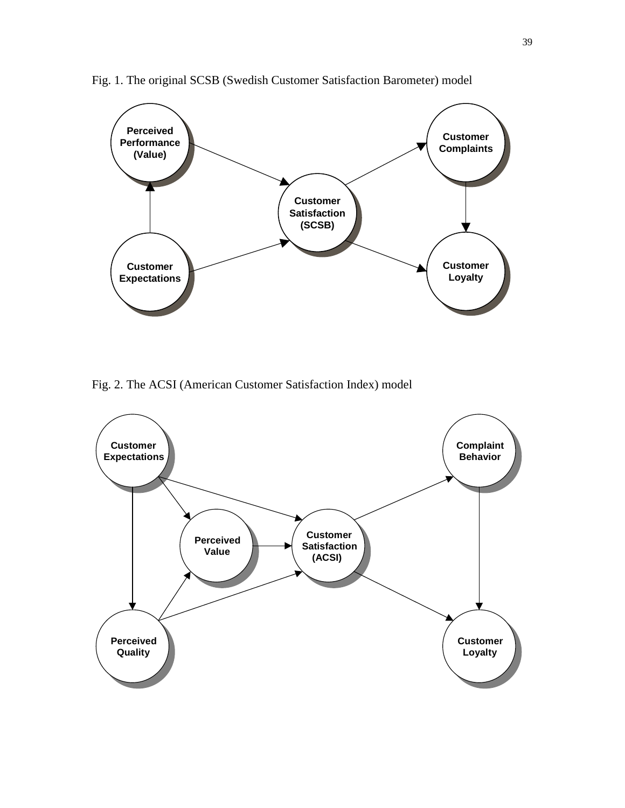

Fig. 1. The original SCSB (Swedish Customer Satisfaction Barometer) model

Fig. 2. The ACSI (American Customer Satisfaction Index) model

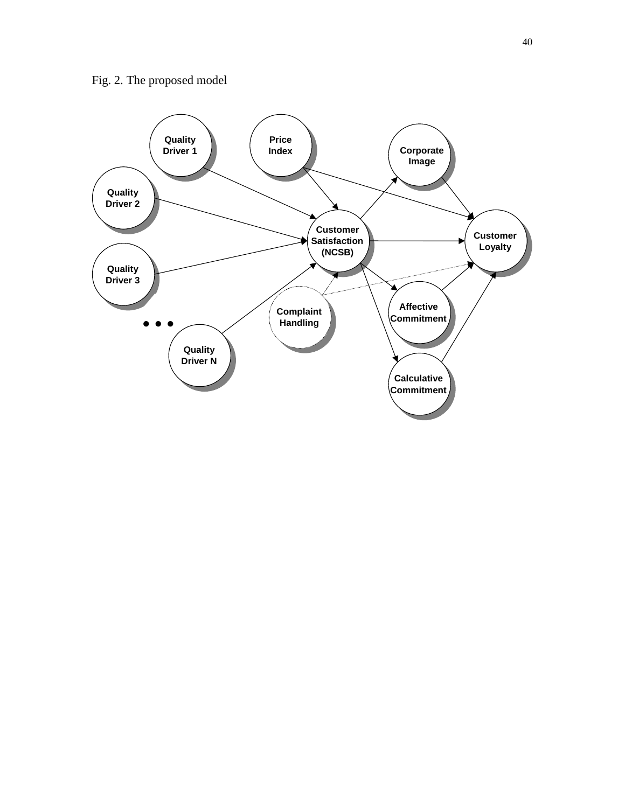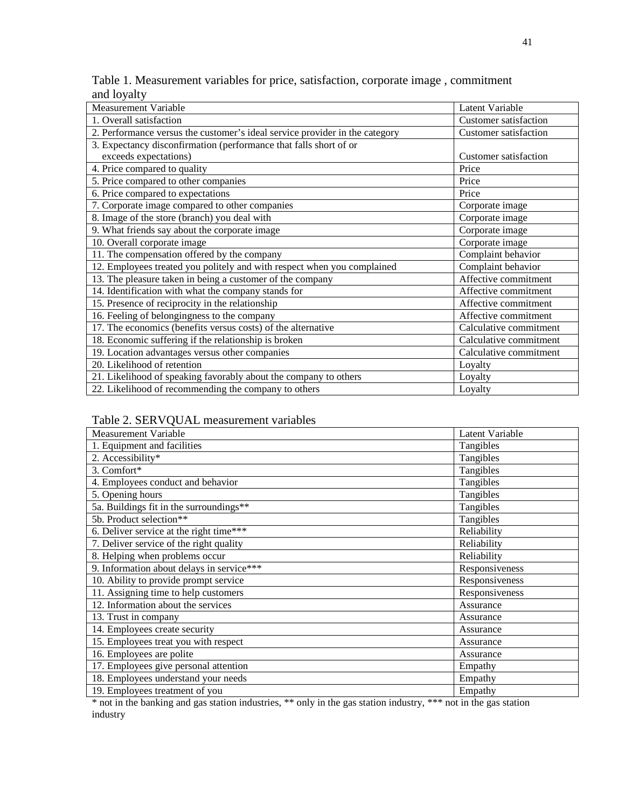| and loyalty                                                                         |  |
|-------------------------------------------------------------------------------------|--|
| Table 1. Measurement variables for price, satisfaction, corporate image, commitment |  |

| <b>Measurement Variable</b>                                                 | Latent Variable              |
|-----------------------------------------------------------------------------|------------------------------|
| 1. Overall satisfaction                                                     | <b>Customer satisfaction</b> |
| 2. Performance versus the customer's ideal service provider in the category | Customer satisfaction        |
| 3. Expectancy disconfirmation (performance that falls short of or           |                              |
| exceeds expectations)                                                       | Customer satisfaction        |
| 4. Price compared to quality                                                | Price                        |
| 5. Price compared to other companies                                        | Price                        |
| 6. Price compared to expectations                                           | Price                        |
| 7. Corporate image compared to other companies                              | Corporate image              |
| 8. Image of the store (branch) you deal with                                | Corporate image              |
| 9. What friends say about the corporate image                               | Corporate image              |
| 10. Overall corporate image                                                 | Corporate image              |
| 11. The compensation offered by the company                                 | Complaint behavior           |
| 12. Employees treated you politely and with respect when you complained     | Complaint behavior           |
| 13. The pleasure taken in being a customer of the company                   | Affective commitment         |
| 14. Identification with what the company stands for                         | Affective commitment         |
| 15. Presence of reciprocity in the relationship                             | Affective commitment         |
| 16. Feeling of belongingness to the company                                 | Affective commitment         |
| 17. The economics (benefits versus costs) of the alternative                | Calculative commitment       |
| 18. Economic suffering if the relationship is broken                        | Calculative commitment       |
| 19. Location advantages versus other companies                              | Calculative commitment       |
| 20. Likelihood of retention                                                 | Loyalty                      |
| 21. Likelihood of speaking favorably about the company to others            | Loyalty                      |
| 22. Likelihood of recommending the company to others                        | Loyalty                      |

## Table 2. SERVQUAL measurement variables

| <b>Measurement Variable</b>               | Latent Variable |
|-------------------------------------------|-----------------|
| 1. Equipment and facilities               | Tangibles       |
| 2. Accessibility*                         | Tangibles       |
| 3. Comfort*                               | Tangibles       |
| 4. Employees conduct and behavior         | Tangibles       |
| 5. Opening hours                          | Tangibles       |
| 5a. Buildings fit in the surroundings**   | Tangibles       |
| 5b. Product selection**                   | Tangibles       |
| 6. Deliver service at the right time***   | Reliability     |
| 7. Deliver service of the right quality   | Reliability     |
| 8. Helping when problems occur            | Reliability     |
| 9. Information about delays in service*** | Responsiveness  |
| 10. Ability to provide prompt service     | Responsiveness  |
| 11. Assigning time to help customers      | Responsiveness  |
| 12. Information about the services        | Assurance       |
| 13. Trust in company                      | Assurance       |
| 14. Employees create security             | Assurance       |
| 15. Employees treat you with respect      | Assurance       |
| 16. Employees are polite                  | Assurance       |
| 17. Employees give personal attention     | Empathy         |
| 18. Employees understand your needs       | Empathy         |
| 19. Employees treatment of you            | Empathy         |

\* not in the banking and gas station industries, \*\* only in the gas station industry, \*\*\* not in the gas station industry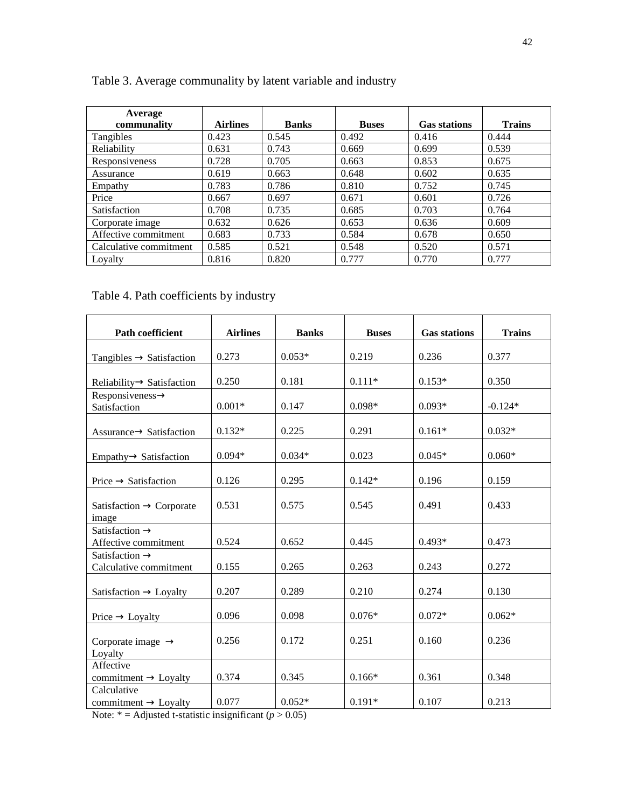| Average                |                 |              |              |                     |               |
|------------------------|-----------------|--------------|--------------|---------------------|---------------|
| communality            | <b>Airlines</b> | <b>Banks</b> | <b>Buses</b> | <b>Gas stations</b> | <b>Trains</b> |
| Tangibles              | 0.423           | 0.545        | 0.492        | 0.416               | 0.444         |
| Reliability            | 0.631           | 0.743        | 0.669        | 0.699               | 0.539         |
| Responsiveness         | 0.728           | 0.705        | 0.663        | 0.853               | 0.675         |
| Assurance              | 0.619           | 0.663        | 0.648        | 0.602               | 0.635         |
| Empathy                | 0.783           | 0.786        | 0.810        | 0.752               | 0.745         |
| Price                  | 0.667           | 0.697        | 0.671        | 0.601               | 0.726         |
| Satisfaction           | 0.708           | 0.735        | 0.685        | 0.703               | 0.764         |
| Corporate image        | 0.632           | 0.626        | 0.653        | 0.636               | 0.609         |
| Affective commitment   | 0.683           | 0.733        | 0.584        | 0.678               | 0.650         |
| Calculative commitment | 0.585           | 0.521        | 0.548        | 0.520               | 0.571         |
| Lovalty                | 0.816           | 0.820        | 0.777        | 0.770               | 0.777         |

Table 3. Average communality by latent variable and industry

# Table 4. Path coefficients by industry

| Path coefficient                                     | <b>Airlines</b> | <b>Banks</b> | <b>Buses</b> | <b>Gas stations</b> | <b>Trains</b> |
|------------------------------------------------------|-----------------|--------------|--------------|---------------------|---------------|
|                                                      |                 |              |              |                     |               |
| Tangibles $\rightarrow$ Satisfaction                 | 0.273           | $0.053*$     | 0.219        | 0.236               | 0.377         |
| $Reliability \rightarrow Satisfactor$                | 0.250           | 0.181        | $0.111*$     | $0.153*$            | 0.350         |
| $Responsiveness \rightarrow$<br>Satisfaction         | $0.001*$        | 0.147        | $0.098*$     | $0.093*$            | $-0.124*$     |
| $Assurance \rightarrow Satisfactor$                  | $0.132*$        | 0.225        | 0.291        | $0.161*$            | $0.032*$      |
| $Empathy \rightarrow Satisfactor$                    | $0.094*$        | $0.034*$     | 0.023        | $0.045*$            | $0.060*$      |
| $Price \rightarrow Satisfactor$                      | 0.126           | 0.295        | $0.142*$     | 0.196               | 0.159         |
| Satisfaction $\rightarrow$ Corporate<br>image        | 0.531           | 0.575        | 0.545        | 0.491               | 0.433         |
| Satisfaction $\rightarrow$<br>Affective commitment   | 0.524           | 0.652        | 0.445        | $0.493*$            | 0.473         |
| Satisfaction $\rightarrow$<br>Calculative commitment | 0.155           | 0.265        | 0.263        | 0.243               | 0.272         |
| Satisfaction $\rightarrow$ Loyalty                   | 0.207           | 0.289        | 0.210        | 0.274               | 0.130         |
| $Price \rightarrow Loyalty$                          | 0.096           | 0.098        | $0.076*$     | $0.072*$            | $0.062*$      |
| Corporate image $\rightarrow$<br>Loyalty             | 0.256           | 0.172        | 0.251        | 0.160               | 0.236         |
| Affective<br>commitment $\rightarrow$ Loyalty        | 0.374           | 0.345        | $0.166*$     | 0.361               | 0.348         |
| Calculative<br>commitment $\rightarrow$ Loyalty      | 0.077           | $0.052*$     | $0.191*$     | 0.107               | 0.213         |

Note:  $* =$  Adjusted t-statistic insignificant ( $p > 0.05$ )